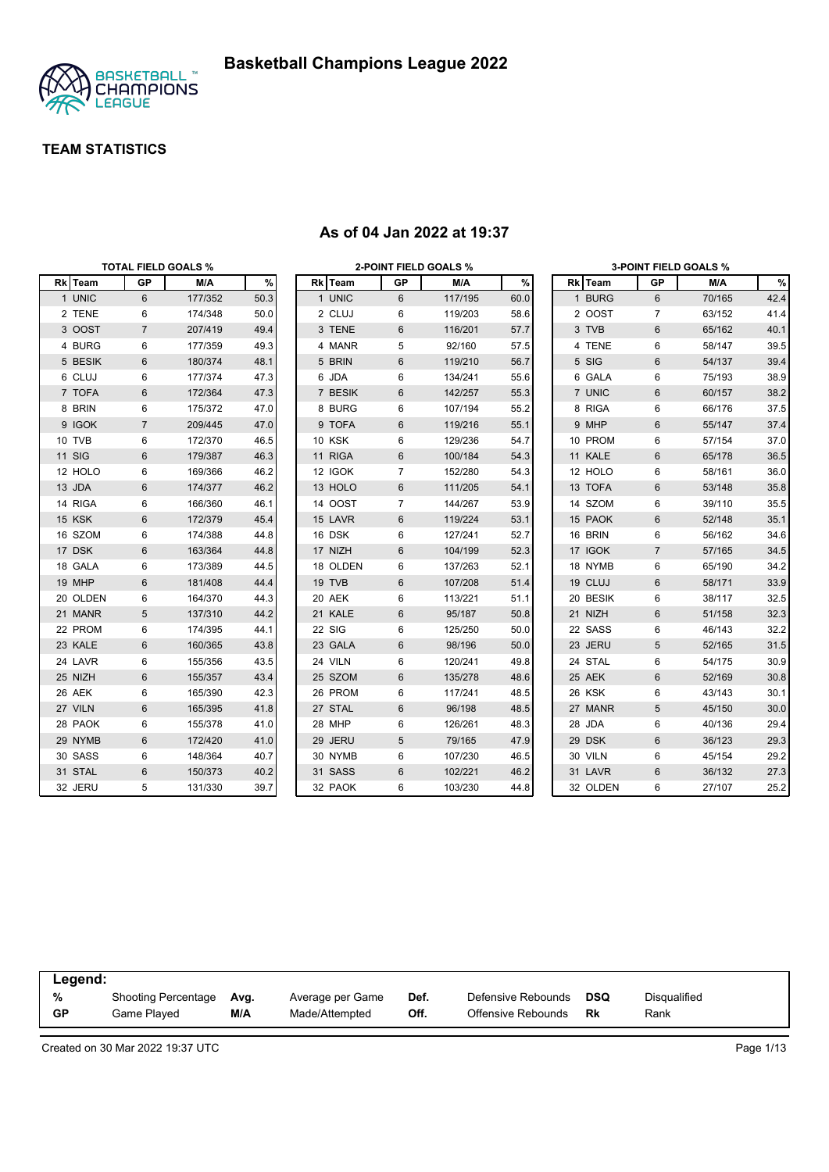

|               |                | <b>TOTAL FIELD GOALS %</b> |      |          | <b>2-POINT FIELD GOALS %</b> |         |      |          |                | <b>3-POINT FIELD GOALS %</b> |      |
|---------------|----------------|----------------------------|------|----------|------------------------------|---------|------|----------|----------------|------------------------------|------|
| Rk Team       | <b>GP</b>      | M/A                        | %    | Rk Team  | GP                           | M/A     | %    | Rk Team  | <b>GP</b>      | M/A                          | %    |
| 1 UNIC        | 6              | 177/352                    | 50.3 | 1 UNIC   | 6                            | 117/195 | 60.0 | 1 BURG   | $6\phantom{1}$ | 70/165                       | 42.4 |
| 2 TENE        | 6              | 174/348                    | 50.0 | 2 CLUJ   | 6                            | 119/203 | 58.6 | 2 OOST   | 7              | 63/152                       | 41.4 |
| 3 OOST        | $\overline{7}$ | 207/419                    | 49.4 | 3 TENE   | 6                            | 116/201 | 57.7 | 3 TVB    | 6              | 65/162                       | 40.1 |
| 4 BURG        | 6              | 177/359                    | 49.3 | 4 MANR   | 5                            | 92/160  | 57.5 | 4 TENE   | 6              | 58/147                       | 39.5 |
| 5 BESIK       | 6              | 180/374                    | 48.1 | 5 BRIN   | 6                            | 119/210 | 56.7 | 5 SIG    | 6              | 54/137                       | 39.4 |
| 6 CLUJ        | 6              | 177/374                    | 47.3 | 6 JDA    | 6                            | 134/241 | 55.6 | 6 GALA   | 6              | 75/193                       | 38.9 |
| 7 TOFA        | 6              | 172/364                    | 47.3 | 7 BESIK  | 6                            | 142/257 | 55.3 | 7 UNIC   | $\,6$          | 60/157                       | 38.2 |
| 8 BRIN        | 6              | 175/372                    | 47.0 | 8 BURG   | 6                            | 107/194 | 55.2 | 8 RIGA   | 6              | 66/176                       | 37.5 |
| 9 IGOK        | $\overline{7}$ | 209/445                    | 47.0 | 9 TOFA   | 6                            | 119/216 | 55.1 | 9 MHP    | $\,6$          | 55/147                       | 37.4 |
| 10 TVB        | 6              | 172/370                    | 46.5 | 10 KSK   | 6                            | 129/236 | 54.7 | 10 PROM  | 6              | 57/154                       | 37.0 |
| <b>11 SIG</b> | 6              | 179/387                    | 46.3 | 11 RIGA  | 6                            | 100/184 | 54.3 | 11 KALE  | $6\phantom{1}$ | 65/178                       | 36.5 |
| 12 HOLO       | 6              | 169/366                    | 46.2 | 12 IGOK  | $\overline{7}$               | 152/280 | 54.3 | 12 HOLO  | 6              | 58/161                       | 36.0 |
| 13 JDA        | 6              | 174/377                    | 46.2 | 13 HOLO  | 6                            | 111/205 | 54.1 | 13 TOFA  | $6\phantom{1}$ | 53/148                       | 35.8 |
| 14 RIGA       | 6              | 166/360                    | 46.1 | 14 OOST  | $\overline{7}$               | 144/267 | 53.9 | 14 SZOM  | 6              | 39/110                       | 35.5 |
| 15 KSK        | 6              | 172/379                    | 45.4 | 15 LAVR  | 6                            | 119/224 | 53.1 | 15 PAOK  | $6\phantom{1}$ | 52/148                       | 35.1 |
| 16 SZOM       | 6              | 174/388                    | 44.8 | 16 DSK   | 6                            | 127/241 | 52.7 | 16 BRIN  | 6              | 56/162                       | 34.6 |
| 17 DSK        | 6              | 163/364                    | 44.8 | 17 NIZH  | 6                            | 104/199 | 52.3 | 17 IGOK  | $\overline{7}$ | 57/165                       | 34.5 |
| 18 GALA       | 6              | 173/389                    | 44.5 | 18 OLDEN | 6                            | 137/263 | 52.1 | 18 NYMB  | 6              | 65/190                       | 34.2 |
| 19 MHP        | 6              | 181/408                    | 44.4 | 19 TVB   | 6                            | 107/208 | 51.4 | 19 CLUJ  | $6\phantom{1}$ | 58/171                       | 33.9 |
| 20 OLDEN      | 6              | 164/370                    | 44.3 | 20 AEK   | 6                            | 113/221 | 51.1 | 20 BESIK | 6              | 38/117                       | 32.5 |
| 21 MANR       | 5              | 137/310                    | 44.2 | 21 KALE  | 6                            | 95/187  | 50.8 | 21 NIZH  | 6              | 51/158                       | 32.3 |
| 22 PROM       | 6              | 174/395                    | 44.1 | 22 SIG   | 6                            | 125/250 | 50.0 | 22 SASS  | 6              | 46/143                       | 32.2 |
| 23 KALE       | 6              | 160/365                    | 43.8 | 23 GALA  | 6                            | 98/196  | 50.0 | 23 JERU  | 5              | 52/165                       | 31.5 |
| 24 LAVR       | 6              | 155/356                    | 43.5 | 24 VILN  | 6                            | 120/241 | 49.8 | 24 STAL  | 6              | 54/175                       | 30.9 |
| 25 NIZH       | 6              | 155/357                    | 43.4 | 25 SZOM  | 6                            | 135/278 | 48.6 | 25 AEK   | $6\phantom{1}$ | 52/169                       | 30.8 |
| 26 AEK        | 6              | 165/390                    | 42.3 | 26 PROM  | 6                            | 117/241 | 48.5 | 26 KSK   | 6              | 43/143                       | 30.1 |
| 27 VILN       | 6              | 165/395                    | 41.8 | 27 STAL  | 6                            | 96/198  | 48.5 | 27 MANR  | 5              | 45/150                       | 30.0 |
| 28 PAOK       | 6              | 155/378                    | 41.0 | 28 MHP   | 6                            | 126/261 | 48.3 | 28 JDA   | 6              | 40/136                       | 29.4 |
| 29 NYMB       | 6              | 172/420                    | 41.0 | 29 JERU  | 5                            | 79/165  | 47.9 | 29 DSK   | $\,6$          | 36/123                       | 29.3 |
| 30 SASS       | 6              | 148/364                    | 40.7 | 30 NYMB  | 6                            | 107/230 | 46.5 | 30 VILN  | 6              | 45/154                       | 29.2 |
| 31 STAL       | 6              | 150/373                    | 40.2 | 31 SASS  | 6                            | 102/221 | 46.2 | 31 LAVR  | $6\phantom{1}$ | 36/132                       | 27.3 |
| 32 JERU       | 5              | 131/330                    | 39.7 | 32 PAOK  | 6                            | 103/230 | 44.8 | 32 OLDEN | 6              | 27/107                       | 25.2 |

#### **As of 04 Jan 2022 at 19:37**

| Legend:   |                            |      |                  |      |                    |            |              |  |
|-----------|----------------------------|------|------------------|------|--------------------|------------|--------------|--|
| %         | <b>Shooting Percentage</b> | Avg. | Average per Game | Def. | Defensive Rebounds | <b>DSQ</b> | Disqualified |  |
| <b>GP</b> | Game Played                | M/A  | Made/Attempted   | Off. | Offensive Rebounds | Rk         | Rank         |  |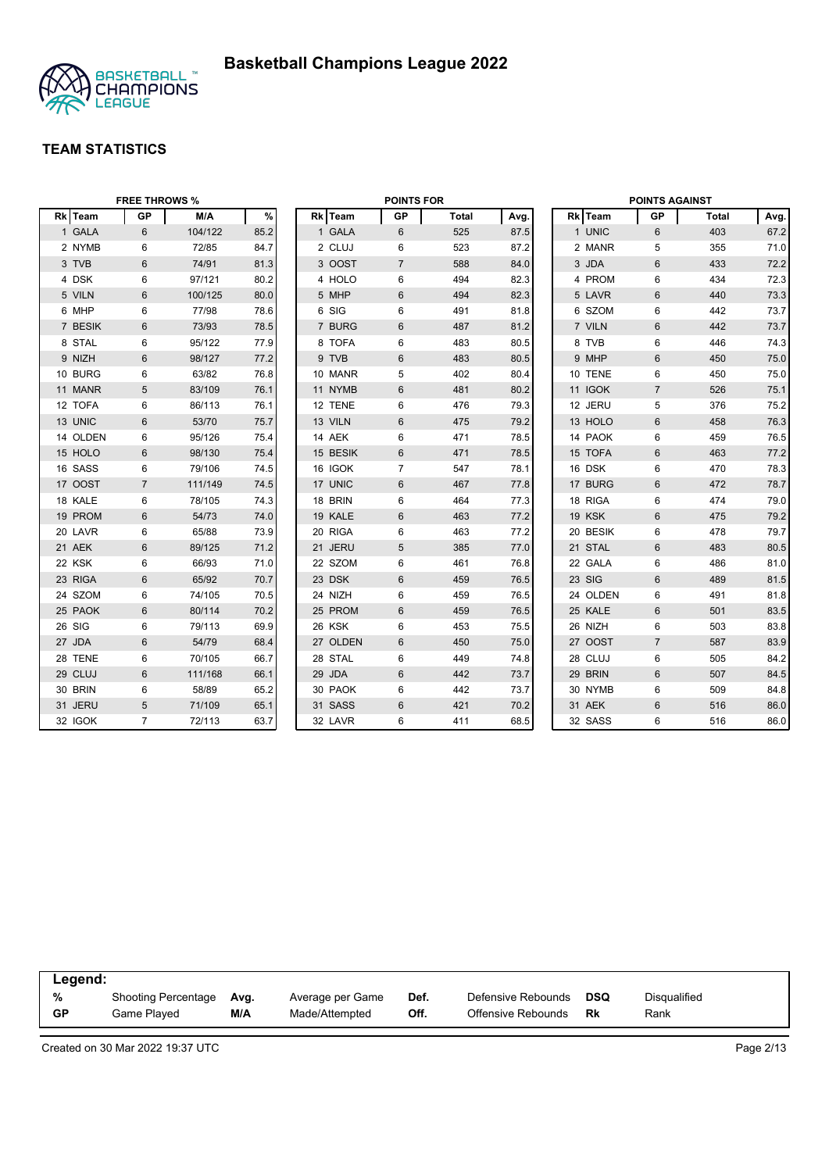

|          | <b>FREE THROWS %</b> |         |      |          | <b>POINTS FOR</b> |              |      |          | <b>POINTS AGAINST</b> |              |      |
|----------|----------------------|---------|------|----------|-------------------|--------------|------|----------|-----------------------|--------------|------|
| Rk Team  | <b>GP</b>            | M/A     | $\%$ | Rk Team  | <b>GP</b>         | <b>Total</b> | Avg. | Rk Team  | GP                    | <b>Total</b> | Avg. |
| 1 GALA   | 6                    | 104/122 | 85.2 | 1 GALA   | 6                 | 525          | 87.5 | 1 UNIC   | 6                     | 403          | 67.2 |
| 2 NYMB   | 6                    | 72/85   | 84.7 | 2 CLUJ   | 6                 | 523          | 87.2 | 2 MANR   | 5                     | 355          | 71.0 |
| 3 TVB    | 6                    | 74/91   | 81.3 | 3 OOST   | $\overline{7}$    | 588          | 84.0 | 3 JDA    | 6                     | 433          | 72.2 |
| 4 DSK    | 6                    | 97/121  | 80.2 | 4 HOLO   | 6                 | 494          | 82.3 | 4 PROM   | 6                     | 434          | 72.3 |
| 5 VILN   | 6                    | 100/125 | 80.0 | 5 MHP    | 6                 | 494          | 82.3 | 5 LAVR   | $6\phantom{1}$        | 440          | 73.3 |
| 6 MHP    | 6                    | 77/98   | 78.6 | 6 SIG    | 6                 | 491          | 81.8 | 6 SZOM   | 6                     | 442          | 73.7 |
| 7 BESIK  | 6                    | 73/93   | 78.5 | 7 BURG   | 6                 | 487          | 81.2 | 7 VILN   | $6\phantom{1}$        | 442          | 73.7 |
| 8 STAL   | 6                    | 95/122  | 77.9 | 8 TOFA   | 6                 | 483          | 80.5 | 8 TVB    | 6                     | 446          | 74.3 |
| 9 NIZH   | 6                    | 98/127  | 77.2 | 9 TVB    | 6                 | 483          | 80.5 | 9 MHP    | 6                     | 450          | 75.0 |
| 10 BURG  | 6                    | 63/82   | 76.8 | 10 MANR  | 5                 | 402          | 80.4 | 10 TENE  | 6                     | 450          | 75.0 |
| 11 MANR  | 5                    | 83/109  | 76.1 | 11 NYMB  | 6                 | 481          | 80.2 | 11 IGOK  | $\overline{7}$        | 526          | 75.1 |
| 12 TOFA  | 6                    | 86/113  | 76.1 | 12 TENE  | 6                 | 476          | 79.3 | 12 JERU  | 5                     | 376          | 75.2 |
| 13 UNIC  | 6                    | 53/70   | 75.7 | 13 VILN  | 6                 | 475          | 79.2 | 13 HOLO  | $6\phantom{1}6$       | 458          | 76.3 |
| 14 OLDEN | 6                    | 95/126  | 75.4 | 14 AEK   | 6                 | 471          | 78.5 | 14 PAOK  | 6                     | 459          | 76.5 |
| 15 HOLO  | 6                    | 98/130  | 75.4 | 15 BESIK | 6                 | 471          | 78.5 | 15 TOFA  | 6                     | 463          | 77.2 |
| 16 SASS  | 6                    | 79/106  | 74.5 | 16 IGOK  | $\overline{7}$    | 547          | 78.1 | 16 DSK   | 6                     | 470          | 78.3 |
| 17 OOST  | $\overline{7}$       | 111/149 | 74.5 | 17 UNIC  | 6                 | 467          | 77.8 | 17 BURG  | 6                     | 472          | 78.7 |
| 18 KALE  | 6                    | 78/105  | 74.3 | 18 BRIN  | 6                 | 464          | 77.3 | 18 RIGA  | 6                     | 474          | 79.0 |
| 19 PROM  | 6                    | 54/73   | 74.0 | 19 KALE  | 6                 | 463          | 77.2 | 19 KSK   | $6\phantom{1}$        | 475          | 79.2 |
| 20 LAVR  | 6                    | 65/88   | 73.9 | 20 RIGA  | 6                 | 463          | 77.2 | 20 BESIK | 6                     | 478          | 79.7 |
| 21 AEK   | 6                    | 89/125  | 71.2 | 21 JERU  | 5                 | 385          | 77.0 | 21 STAL  | $6\phantom{1}$        | 483          | 80.5 |
| 22 KSK   | 6                    | 66/93   | 71.0 | 22 SZOM  | 6                 | 461          | 76.8 | 22 GALA  | 6                     | 486          | 81.0 |
| 23 RIGA  | 6                    | 65/92   | 70.7 | 23 DSK   | 6                 | 459          | 76.5 | 23 SIG   | $6\phantom{1}$        | 489          | 81.5 |
| 24 SZOM  | 6                    | 74/105  | 70.5 | 24 NIZH  | 6                 | 459          | 76.5 | 24 OLDEN | 6                     | 491          | 81.8 |
| 25 PAOK  | 6                    | 80/114  | 70.2 | 25 PROM  | 6                 | 459          | 76.5 | 25 KALE  | $6\phantom{1}6$       | 501          | 83.5 |
| 26 SIG   | 6                    | 79/113  | 69.9 | 26 KSK   | 6                 | 453          | 75.5 | 26 NIZH  | 6                     | 503          | 83.8 |
| 27 JDA   | $\,6\,$              | 54/79   | 68.4 | 27 OLDEN | 6                 | 450          | 75.0 | 27 OOST  | $\overline{7}$        | 587          | 83.9 |
| 28 TENE  | 6                    | 70/105  | 66.7 | 28 STAL  | 6                 | 449          | 74.8 | 28 CLUJ  | 6                     | 505          | 84.2 |
| 29 CLUJ  | 6                    | 111/168 | 66.1 | 29 JDA   | 6                 | 442          | 73.7 | 29 BRIN  | $6\phantom{1}$        | 507          | 84.5 |
| 30 BRIN  | 6                    | 58/89   | 65.2 | 30 PAOK  | 6                 | 442          | 73.7 | 30 NYMB  | 6                     | 509          | 84.8 |
| 31 JERU  | 5                    | 71/109  | 65.1 | 31 SASS  | 6                 | 421          | 70.2 | 31 AEK   | 6                     | 516          | 86.0 |
| 32 IGOK  | $\overline{7}$       | 72/113  | 63.7 | 32 LAVR  | 6                 | 411          | 68.5 | 32 SASS  | 6                     | 516          | 86.0 |

| Legend:   |                            |      |                  |      |                    |     |              |
|-----------|----------------------------|------|------------------|------|--------------------|-----|--------------|
| %         | <b>Shooting Percentage</b> | Avg. | Average per Game | Def. | Defensive Rebounds | DSQ | Disqualified |
| <b>GP</b> | Game Played                | M/A  | Made/Attempted   | Off. | Offensive Rebounds | Rk  | Rank         |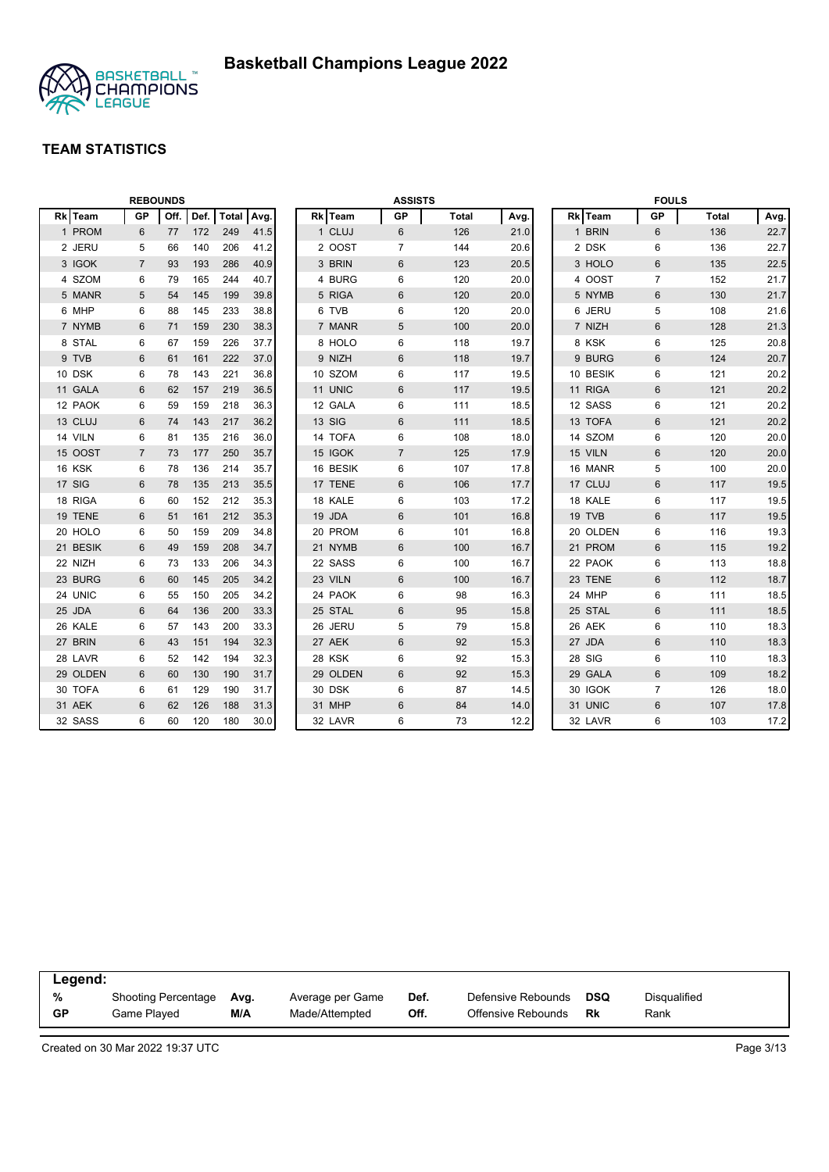

|          |                | <b>REBOUNDS</b> |      |              |      |          | <b>ASSISTS</b> |              |      |          | <b>FOULS</b>   |              |      |
|----------|----------------|-----------------|------|--------------|------|----------|----------------|--------------|------|----------|----------------|--------------|------|
| Rk Team  | <b>GP</b>      | Off.            | Def. | <b>Total</b> | Avg. | Rk Team  | <b>GP</b>      | <b>Total</b> | Avg. | Rk Team  | <b>GP</b>      | <b>Total</b> | Avg. |
| 1 PROM   | 6              | 77              | 172  | 249          | 41.5 | 1 CLUJ   | 6              | 126          | 21.0 | 1 BRIN   | 6              | 136          | 22.7 |
| 2 JERU   | 5              | 66              | 140  | 206          | 41.2 | 2 OOST   | $\overline{7}$ | 144          | 20.6 | 2 DSK    | 6              | 136          | 22.7 |
| 3 IGOK   | $\overline{7}$ | 93              | 193  | 286          | 40.9 | 3 BRIN   | 6              | 123          | 20.5 | 3 HOLO   | $6\,$          | 135          | 22.5 |
| 4 SZOM   | 6              | 79              | 165  | 244          | 40.7 | 4 BURG   | 6              | 120          | 20.0 | 4 OOST   | $\overline{7}$ | 152          | 21.7 |
| 5 MANR   | 5              | 54              | 145  | 199          | 39.8 | 5 RIGA   | 6              | 120          | 20.0 | 5 NYMB   | $\,6\,$        | 130          | 21.7 |
| 6 MHP    | 6              | 88              | 145  | 233          | 38.8 | 6 TVB    | 6              | 120          | 20.0 | 6 JERU   | 5              | 108          | 21.6 |
| 7 NYMB   | 6              | 71              | 159  | 230          | 38.3 | 7 MANR   | 5              | 100          | 20.0 | 7 NIZH   | $6\phantom{1}$ | 128          | 21.3 |
| 8 STAL   | 6              | 67              | 159  | 226          | 37.7 | 8 HOLO   | 6              | 118          | 19.7 | 8 KSK    | 6              | 125          | 20.8 |
| 9 TVB    | 6              | 61              | 161  | 222          | 37.0 | 9 NIZH   | 6              | 118          | 19.7 | 9 BURG   | $6\phantom{1}$ | 124          | 20.7 |
| 10 DSK   | 6              | 78              | 143  | 221          | 36.8 | 10 SZOM  | 6              | 117          | 19.5 | 10 BESIK | 6              | 121          | 20.2 |
| 11 GALA  | 6              | 62              | 157  | 219          | 36.5 | 11 UNIC  | $6\phantom{1}$ | 117          | 19.5 | 11 RIGA  | $6\phantom{1}$ | 121          | 20.2 |
| 12 PAOK  | 6              | 59              | 159  | 218          | 36.3 | 12 GALA  | 6              | 111          | 18.5 | 12 SASS  | 6              | 121          | 20.2 |
| 13 CLUJ  | 6              | 74              | 143  | 217          | 36.2 | 13 SIG   | $\,6$          | 111          | 18.5 | 13 TOFA  | $6\phantom{1}$ | 121          | 20.2 |
| 14 VILN  | 6              | 81              | 135  | 216          | 36.0 | 14 TOFA  | 6              | 108          | 18.0 | 14 SZOM  | 6              | 120          | 20.0 |
| 15 OOST  | $\overline{7}$ | 73              | 177  | 250          | 35.7 | 15 IGOK  | $\overline{7}$ | 125          | 17.9 | 15 VILN  | $6\phantom{1}$ | 120          | 20.0 |
| 16 KSK   | 6              | 78              | 136  | 214          | 35.7 | 16 BESIK | 6              | 107          | 17.8 | 16 MANR  | 5              | 100          | 20.0 |
| 17 SIG   | 6              | 78              | 135  | 213          | 35.5 | 17 TENE  | 6              | 106          | 17.7 | 17 CLUJ  | $6\phantom{1}$ | 117          | 19.5 |
| 18 RIGA  | 6              | 60              | 152  | 212          | 35.3 | 18 KALE  | 6              | 103          | 17.2 | 18 KALE  | 6              | 117          | 19.5 |
| 19 TENE  | 6              | 51              | 161  | 212          | 35.3 | 19 JDA   | 6              | 101          | 16.8 | 19 TVB   | 6              | 117          | 19.5 |
| 20 HOLO  | 6              | 50              | 159  | 209          | 34.8 | 20 PROM  | 6              | 101          | 16.8 | 20 OLDEN | 6              | 116          | 19.3 |
| 21 BESIK | 6              | 49              | 159  | 208          | 34.7 | 21 NYMB  | $6\phantom{1}$ | 100          | 16.7 | 21 PROM  | 6              | 115          | 19.2 |
| 22 NIZH  | 6              | 73              | 133  | 206          | 34.3 | 22 SASS  | 6              | 100          | 16.7 | 22 PAOK  | 6              | 113          | 18.8 |
| 23 BURG  | 6              | 60              | 145  | 205          | 34.2 | 23 VILN  | $\,6$          | 100          | 16.7 | 23 TENE  | $6\phantom{1}$ | 112          | 18.7 |
| 24 UNIC  | 6              | 55              | 150  | 205          | 34.2 | 24 PAOK  | 6              | 98           | 16.3 | 24 MHP   | 6              | 111          | 18.5 |
| 25 JDA   | 6              | 64              | 136  | 200          | 33.3 | 25 STAL  | 6              | 95           | 15.8 | 25 STAL  | $6\phantom{1}$ | 111          | 18.5 |
| 26 KALE  | 6              | 57              | 143  | 200          | 33.3 | 26 JERU  | 5              | 79           | 15.8 | 26 AEK   | 6              | 110          | 18.3 |
| 27 BRIN  | 6              | 43              | 151  | 194          | 32.3 | 27 AEK   | 6              | 92           | 15.3 | 27 JDA   | 6              | 110          | 18.3 |
| 28 LAVR  | 6              | 52              | 142  | 194          | 32.3 | 28 KSK   | 6              | 92           | 15.3 | 28 SIG   | 6              | 110          | 18.3 |
| 29 OLDEN | 6              | 60              | 130  | 190          | 31.7 | 29 OLDEN | 6              | 92           | 15.3 | 29 GALA  | 6              | 109          | 18.2 |
| 30 TOFA  | 6              | 61              | 129  | 190          | 31.7 | 30 DSK   | 6              | 87           | 14.5 | 30 IGOK  | $\overline{7}$ | 126          | 18.0 |
| 31 AEK   | 6              | 62              | 126  | 188          | 31.3 | 31 MHP   | $6\phantom{1}$ | 84           | 14.0 | 31 UNIC  | $6\,$          | 107          | 17.8 |
| 32 SASS  | 6              | 60              | 120  | 180          | 30.0 | 32 LAVR  | 6              | 73           | 12.2 | 32 LAVR  | 6              | 103          | 17.2 |

| Legend: |                            |      |                  |      |                    |     |              |
|---------|----------------------------|------|------------------|------|--------------------|-----|--------------|
| %       | <b>Shooting Percentage</b> | Ava. | Average per Game | Def. | Defensive Rebounds | DSQ | Disqualified |
| GP      | Game Plaved                | M/A  | Made/Attempted   | Off. | Offensive Rebounds | Rk  | Rank         |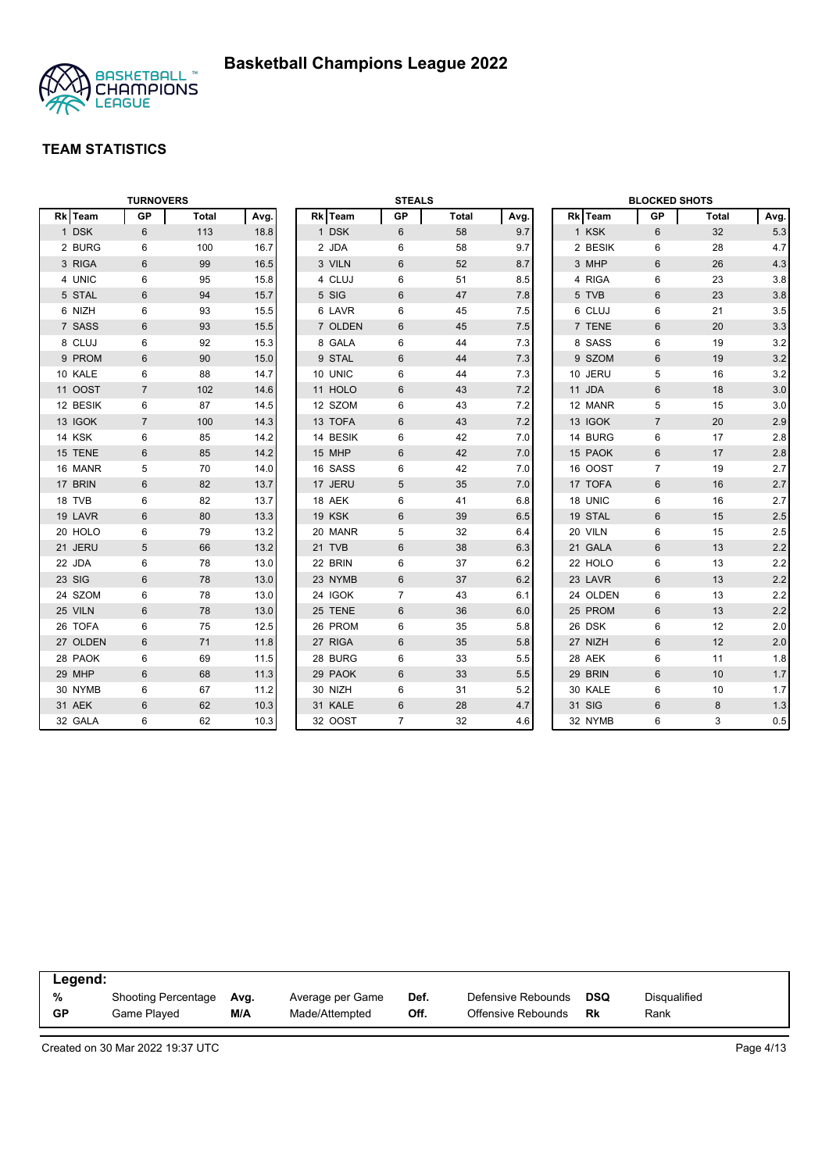

|          | <b>TURNOVERS</b> |              |      |          | <b>STEALS</b>  |              |      |          | <b>BLOCKED SHOTS</b> |       |         |
|----------|------------------|--------------|------|----------|----------------|--------------|------|----------|----------------------|-------|---------|
| Rk Team  | GP               | <b>Total</b> | Avg. | Rk Team  | GP             | <b>Total</b> | Avg. | Rk Team  | GP                   | Total | Avg.    |
| 1 DSK    | 6                | 113          | 18.8 | 1 DSK    | 6              | 58           | 9.7  | 1 KSK    | 6                    | 32    | 5.3     |
| 2 BURG   | 6                | 100          | 16.7 | 2 JDA    | 6              | 58           | 9.7  | 2 BESIK  | 6                    | 28    | 4.7     |
| 3 RIGA   | 6                | 99           | 16.5 | 3 VILN   | 6              | 52           | 8.7  | 3 MHP    | 6                    | 26    | 4.3     |
| 4 UNIC   | 6                | 95           | 15.8 | 4 CLUJ   | 6              | 51           | 8.5  | 4 RIGA   | 6                    | 23    | 3.8     |
| 5 STAL   | $6\phantom{1}$   | 94           | 15.7 | 5 SIG    | 6              | 47           | 7.8  | 5 TVB    | $6\phantom{1}$       | 23    | 3.8     |
| 6 NIZH   | 6                | 93           | 15.5 | 6 LAVR   | 6              | 45           | 7.5  | 6 CLUJ   | 6                    | 21    | 3.5     |
| 7 SASS   | $6\,$            | 93           | 15.5 | 7 OLDEN  | $6\,$          | 45           | 7.5  | 7 TENE   | $6\,$                | 20    | 3.3     |
| 8 CLUJ   | 6                | 92           | 15.3 | 8 GALA   | 6              | 44           | 7.3  | 8 SASS   | 6                    | 19    | 3.2     |
| 9 PROM   | 6                | 90           | 15.0 | 9 STAL   | 6              | 44           | 7.3  | 9 SZOM   | $6\phantom{1}$       | 19    | 3.2     |
| 10 KALE  | 6                | 88           | 14.7 | 10 UNIC  | 6              | 44           | 7.3  | 10 JERU  | 5                    | 16    | 3.2     |
| 11 OOST  | $\overline{7}$   | 102          | 14.6 | 11 HOLO  | 6              | 43           | 7.2  | 11 JDA   | 6                    | 18    | 3.0     |
| 12 BESIK | 6                | 87           | 14.5 | 12 SZOM  | 6              | 43           | 7.2  | 12 MANR  | 5                    | 15    | 3.0     |
| 13 IGOK  | $\overline{7}$   | 100          | 14.3 | 13 TOFA  | 6              | 43           | 7.2  | 13 IGOK  | $\overline{7}$       | 20    | 2.9     |
| 14 KSK   | 6                | 85           | 14.2 | 14 BESIK | 6              | 42           | 7.0  | 14 BURG  | 6                    | 17    | 2.8     |
| 15 TENE  | 6                | 85           | 14.2 | 15 MHP   | 6              | 42           | 7.0  | 15 PAOK  | $6\phantom{1}$       | 17    | 2.8     |
| 16 MANR  | 5                | 70           | 14.0 | 16 SASS  | 6              | 42           | 7.0  | 16 OOST  | $\overline{7}$       | 19    | 2.7     |
| 17 BRIN  | $6\phantom{1}$   | 82           | 13.7 | 17 JERU  | 5              | 35           | 7.0  | 17 TOFA  | 6                    | 16    | 2.7     |
| 18 TVB   | 6                | 82           | 13.7 | 18 AEK   | 6              | 41           | 6.8  | 18 UNIC  | 6                    | 16    | 2.7     |
| 19 LAVR  | 6                | 80           | 13.3 | 19 KSK   | 6              | 39           | 6.5  | 19 STAL  | 6                    | 15    | 2.5     |
| 20 HOLO  | 6                | 79           | 13.2 | 20 MANR  | 5              | 32           | 6.4  | 20 VILN  | 6                    | 15    | 2.5     |
| 21 JERU  | 5                | 66           | 13.2 | 21 TVB   | $6\,$          | 38           | 6.3  | 21 GALA  | $6\,$                | 13    | 2.2     |
| 22 JDA   | 6                | 78           | 13.0 | 22 BRIN  | 6              | 37           | 6.2  | 22 HOLO  | 6                    | 13    | 2.2     |
| 23 SIG   | $6\phantom{1}$   | 78           | 13.0 | 23 NYMB  | 6              | 37           | 6.2  | 23 LAVR  | $6\phantom{1}6$      | 13    | $2.2\,$ |
| 24 SZOM  | 6                | 78           | 13.0 | 24 IGOK  | $\overline{7}$ | 43           | 6.1  | 24 OLDEN | 6                    | 13    | 2.2     |
| 25 VILN  | 6                | 78           | 13.0 | 25 TENE  | 6              | 36           | 6.0  | 25 PROM  | 6                    | 13    | 2.2     |
| 26 TOFA  | 6                | 75           | 12.5 | 26 PROM  | 6              | 35           | 5.8  | 26 DSK   | 6                    | 12    | 2.0     |
| 27 OLDEN | 6                | 71           | 11.8 | 27 RIGA  | 6              | 35           | 5.8  | 27 NIZH  | 6                    | 12    | 2.0     |
| 28 PAOK  | 6                | 69           | 11.5 | 28 BURG  | 6              | 33           | 5.5  | 28 AEK   | 6                    | 11    | 1.8     |
| 29 MHP   | 6                | 68           | 11.3 | 29 PAOK  | 6              | 33           | 5.5  | 29 BRIN  | 6                    | 10    | 1.7     |
| 30 NYMB  | 6                | 67           | 11.2 | 30 NIZH  | 6              | 31           | 5.2  | 30 KALE  | 6                    | 10    | 1.7     |
| 31 AEK   | 6                | 62           | 10.3 | 31 KALE  | 6              | 28           | 4.7  | 31 SIG   | 6                    | 8     | 1.3     |
| 32 GALA  | 6                | 62           | 10.3 | 32 OOST  | $\overline{7}$ | 32           | 4.6  | 32 NYMB  | 6                    | 3     | 0.5     |

| Legend:   |                            |      |                  |      |                    |     |              |  |
|-----------|----------------------------|------|------------------|------|--------------------|-----|--------------|--|
| %         | <b>Shooting Percentage</b> | Avg. | Average per Game | Def. | Defensive Rebounds | DSQ | Disqualified |  |
| <b>GP</b> | Game Played                | M/A  | Made/Attempted   | Off. | Offensive Rebounds | Rk  | Rank         |  |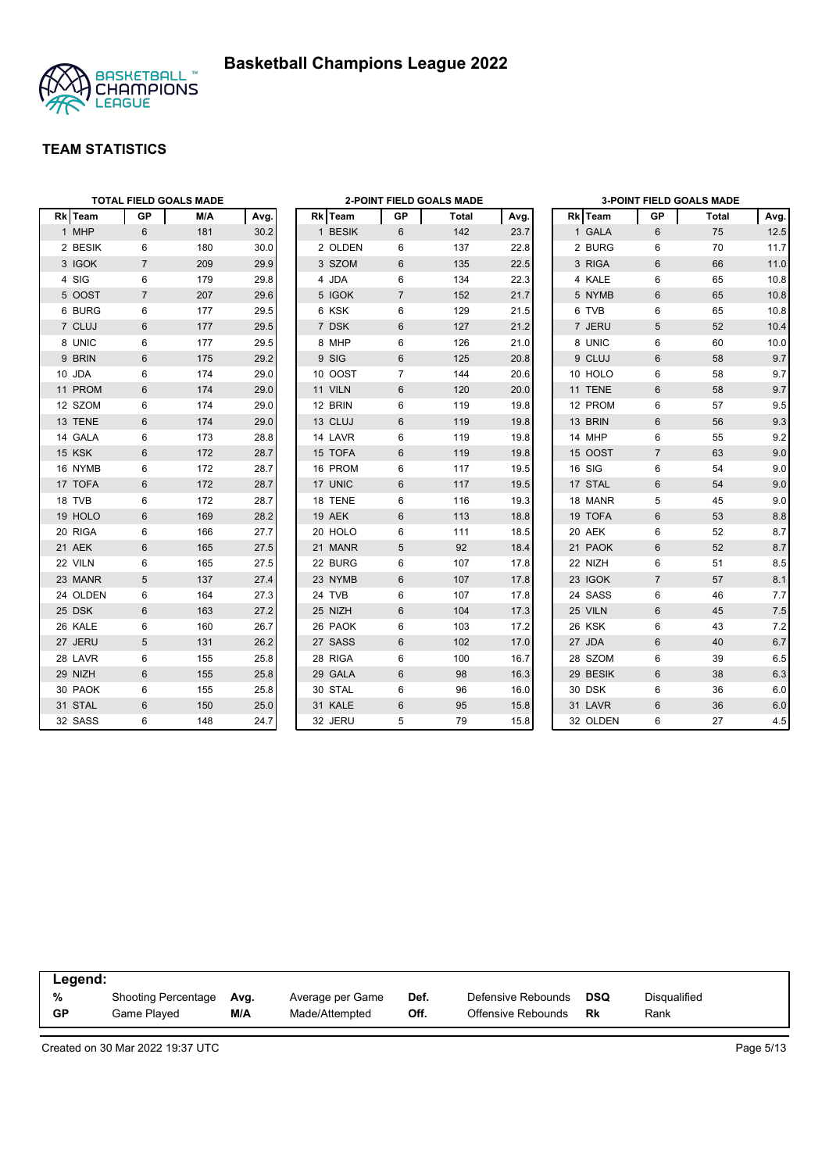



|          |                | <b>TOTAL FIELD GOALS MADE</b> |      |         |                | <b>2-POINT FIELD GOALS MADE</b> |      |          |                | <b>3-POINT FIELD GOALS MADE</b> |      |
|----------|----------------|-------------------------------|------|---------|----------------|---------------------------------|------|----------|----------------|---------------------------------|------|
| Rk Team  | <b>GP</b>      | M/A                           | Avg. | Rk Team | GP             | Total                           | Avg. | Rk Team  | GP             | Total                           | Avg. |
| 1 MHP    | 6              | 181                           | 30.2 | 1 BESIK | 6              | 142                             | 23.7 | 1 GALA   | 6              | 75                              | 12.5 |
| 2 BESIK  | 6              | 180                           | 30.0 | 2 OLDEN | 6              | 137                             | 22.8 | 2 BURG   | 6              | 70                              | 11.7 |
| 3 IGOK   | $\overline{7}$ | 209                           | 29.9 | 3 SZOM  | 6              | 135                             | 22.5 | 3 RIGA   | 6              | 66                              | 11.0 |
| 4 SIG    | 6              | 179                           | 29.8 | 4 JDA   | 6              | 134                             | 22.3 | 4 KALE   | 6              | 65                              | 10.8 |
| 5 OOST   | $\overline{7}$ | 207                           | 29.6 | 5 IGOK  | $\overline{7}$ | 152                             | 21.7 | 5 NYMB   | 6              | 65                              | 10.8 |
| 6 BURG   | 6              | 177                           | 29.5 | 6 KSK   | 6              | 129                             | 21.5 | 6 TVB    | 6              | 65                              | 10.8 |
| 7 CLUJ   | $6\phantom{1}$ | 177                           | 29.5 | 7 DSK   | 6              | 127                             | 21.2 | 7 JERU   | 5              | 52                              | 10.4 |
| 8 UNIC   | 6              | 177                           | 29.5 | 8 MHP   | 6              | 126                             | 21.0 | 8 UNIC   | 6              | 60                              | 10.0 |
| 9 BRIN   | 6              | 175                           | 29.2 | 9 SIG   | 6              | 125                             | 20.8 | 9 CLUJ   | 6              | 58                              | 9.7  |
| 10 JDA   | 6              | 174                           | 29.0 | 10 OOST | $\overline{7}$ | 144                             | 20.6 | 10 HOLO  | 6              | 58                              | 9.7  |
| 11 PROM  | $6\phantom{1}$ | 174                           | 29.0 | 11 VILN | 6              | 120                             | 20.0 | 11 TENE  | 6              | 58                              | 9.7  |
| 12 SZOM  | 6              | 174                           | 29.0 | 12 BRIN | 6              | 119                             | 19.8 | 12 PROM  | 6              | 57                              | 9.5  |
| 13 TENE  | $\,6$          | 174                           | 29.0 | 13 CLUJ | 6              | 119                             | 19.8 | 13 BRIN  | $6\,$          | 56                              | 9.3  |
| 14 GALA  | 6              | 173                           | 28.8 | 14 LAVR | 6              | 119                             | 19.8 | 14 MHP   | 6              | 55                              | 9.2  |
| 15 KSK   | $6\phantom{1}$ | 172                           | 28.7 | 15 TOFA | 6              | 119                             | 19.8 | 15 OOST  | $\overline{7}$ | 63                              | 9.0  |
| 16 NYMB  | 6              | 172                           | 28.7 | 16 PROM | 6              | 117                             | 19.5 | 16 SIG   | 6              | 54                              | 9.0  |
| 17 TOFA  | $6\phantom{1}$ | 172                           | 28.7 | 17 UNIC | 6              | 117                             | 19.5 | 17 STAL  | 6              | 54                              | 9.0  |
| 18 TVB   | 6              | 172                           | 28.7 | 18 TENE | 6              | 116                             | 19.3 | 18 MANR  | 5              | 45                              | 9.0  |
| 19 HOLO  | 6              | 169                           | 28.2 | 19 AEK  | 6              | 113                             | 18.8 | 19 TOFA  | 6              | 53                              | 8.8  |
| 20 RIGA  | 6              | 166                           | 27.7 | 20 HOLO | 6              | 111                             | 18.5 | 20 AEK   | 6              | 52                              | 8.7  |
| 21 AEK   | 6              | 165                           | 27.5 | 21 MANR | 5              | 92                              | 18.4 | 21 PAOK  | 6              | 52                              | 8.7  |
| 22 VILN  | 6              | 165                           | 27.5 | 22 BURG | 6              | 107                             | 17.8 | 22 NIZH  | 6              | 51                              | 8.5  |
| 23 MANR  | 5              | 137                           | 27.4 | 23 NYMB | 6              | 107                             | 17.8 | 23 IGOK  | $\overline{7}$ | 57                              | 8.1  |
| 24 OLDEN | 6              | 164                           | 27.3 | 24 TVB  | 6              | 107                             | 17.8 | 24 SASS  | 6              | 46                              | 7.7  |
| 25 DSK   | 6              | 163                           | 27.2 | 25 NIZH | 6              | 104                             | 17.3 | 25 VILN  | 6              | 45                              | 7.5  |
| 26 KALE  | 6              | 160                           | 26.7 | 26 PAOK | 6              | 103                             | 17.2 | 26 KSK   | 6              | 43                              | 7.2  |
| 27 JERU  | 5              | 131                           | 26.2 | 27 SASS | 6              | 102                             | 17.0 | 27 JDA   | 6              | 40                              | 6.7  |
| 28 LAVR  | 6              | 155                           | 25.8 | 28 RIGA | 6              | 100                             | 16.7 | 28 SZOM  | 6              | 39                              | 6.5  |
| 29 NIZH  | 6              | 155                           | 25.8 | 29 GALA | 6              | 98                              | 16.3 | 29 BESIK | 6              | 38                              | 6.3  |
| 30 PAOK  | 6              | 155                           | 25.8 | 30 STAL | 6              | 96                              | 16.0 | 30 DSK   | 6              | 36                              | 6.0  |
| 31 STAL  | $6\phantom{1}$ | 150                           | 25.0 | 31 KALE | 6              | 95                              | 15.8 | 31 LAVR  | $6\phantom{1}$ | 36                              | 6.0  |
| 32 SASS  | 6              | 148                           | 24.7 | 32 JERU | 5              | 79                              | 15.8 | 32 OLDEN | 6              | 27                              | 4.5  |

| Legend:   |                            |      |                  |      |                    |     |              |  |
|-----------|----------------------------|------|------------------|------|--------------------|-----|--------------|--|
| %         | <b>Shooting Percentage</b> | Avg. | Average per Game | Def. | Defensive Rebounds | DSQ | Disqualified |  |
| <b>GP</b> | Game Played                | M/A  | Made/Attempted   | Off. | Offensive Rebounds | Rk  | Rank         |  |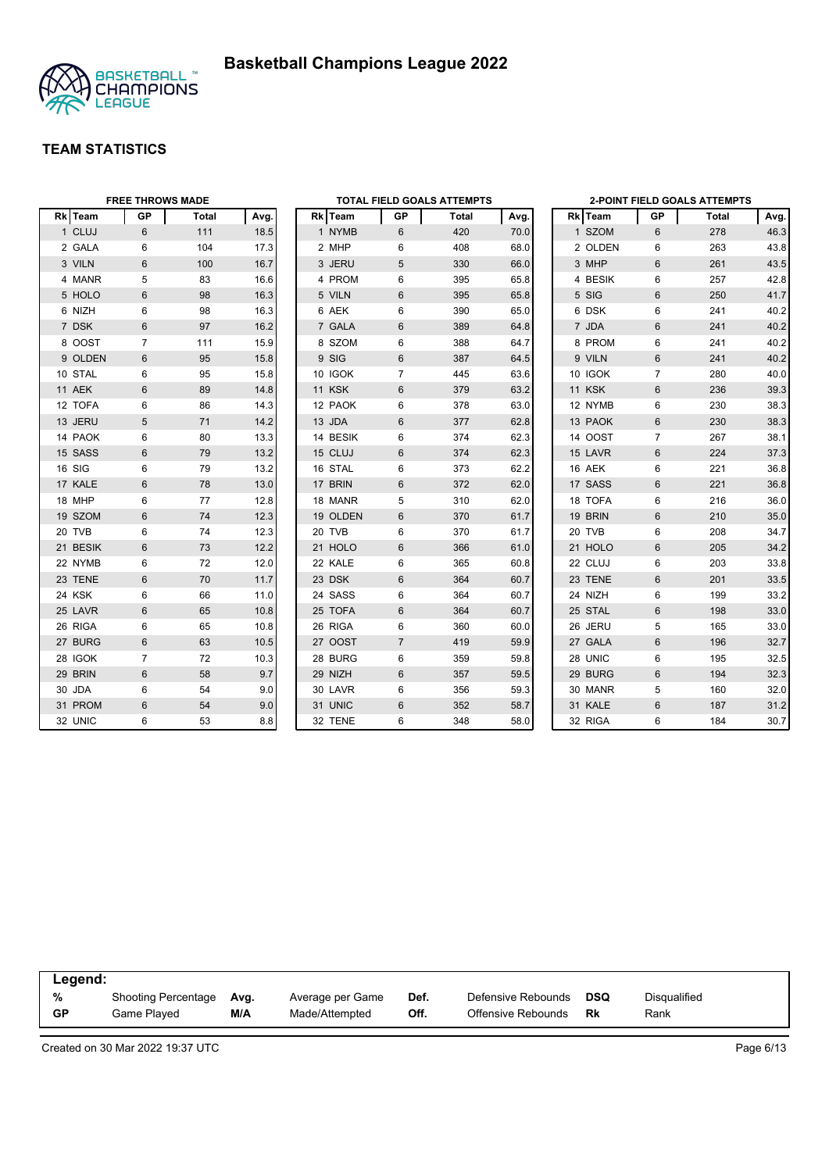



|          | <b>FREE THROWS MADE</b> |       |      |          |                | <b>TOTAL FIELD GOALS ATTEMPTS</b> |      |         |                | <b>2-POINT FIELD GOALS ATTEMPTS</b> |      |
|----------|-------------------------|-------|------|----------|----------------|-----------------------------------|------|---------|----------------|-------------------------------------|------|
| Rk Team  | GP                      | Total | Avg. | Rk Team  | GP             | Total                             | Avg. | Rk Team | GP             | Total                               | Avg. |
| 1 CLUJ   | 6                       | 111   | 18.5 | 1 NYMB   | 6              | 420                               | 70.0 | 1 SZOM  | 6              | 278                                 | 46.3 |
| 2 GALA   | 6                       | 104   | 17.3 | 2 MHP    | 6              | 408                               | 68.0 | 2 OLDEN | 6              | 263                                 | 43.8 |
| 3 VILN   | 6                       | 100   | 16.7 | 3 JERU   | 5              | 330                               | 66.0 | 3 MHP   | 6              | 261                                 | 43.5 |
| 4 MANR   | 5                       | 83    | 16.6 | 4 PROM   | 6              | 395                               | 65.8 | 4 BESIK | 6              | 257                                 | 42.8 |
| 5 HOLO   | 6                       | 98    | 16.3 | 5 VILN   | 6              | 395                               | 65.8 | 5 SIG   | $6\phantom{1}$ | 250                                 | 41.7 |
| 6 NIZH   | 6                       | 98    | 16.3 | 6 AEK    | 6              | 390                               | 65.0 | 6 DSK   | 6              | 241                                 | 40.2 |
| 7 DSK    | 6                       | 97    | 16.2 | 7 GALA   | $6\phantom{1}$ | 389                               | 64.8 | 7 JDA   | $6\phantom{1}$ | 241                                 | 40.2 |
| 8 OOST   | $\overline{7}$          | 111   | 15.9 | 8 SZOM   | 6              | 388                               | 64.7 | 8 PROM  | 6              | 241                                 | 40.2 |
| 9 OLDEN  | 6                       | 95    | 15.8 | 9 SIG    | 6              | 387                               | 64.5 | 9 VILN  | 6              | 241                                 | 40.2 |
| 10 STAL  | 6                       | 95    | 15.8 | 10 IGOK  | $\overline{7}$ | 445                               | 63.6 | 10 IGOK | $\overline{7}$ | 280                                 | 40.0 |
| 11 AEK   | 6                       | 89    | 14.8 | 11 KSK   | 6              | 379                               | 63.2 | 11 KSK  | $6\phantom{1}$ | 236                                 | 39.3 |
| 12 TOFA  | 6                       | 86    | 14.3 | 12 PAOK  | 6              | 378                               | 63.0 | 12 NYMB | 6              | 230                                 | 38.3 |
| 13 JERU  | 5                       | 71    | 14.2 | 13 JDA   | 6              | 377                               | 62.8 | 13 PAOK | 6              | 230                                 | 38.3 |
| 14 PAOK  | 6                       | 80    | 13.3 | 14 BESIK | 6              | 374                               | 62.3 | 14 OOST | $\overline{7}$ | 267                                 | 38.1 |
| 15 SASS  | 6                       | 79    | 13.2 | 15 CLUJ  | 6              | 374                               | 62.3 | 15 LAVR | $6\phantom{1}$ | 224                                 | 37.3 |
| 16 SIG   | 6                       | 79    | 13.2 | 16 STAL  | 6              | 373                               | 62.2 | 16 AEK  | 6              | 221                                 | 36.8 |
| 17 KALE  | 6                       | 78    | 13.0 | 17 BRIN  | $6\phantom{1}$ | 372                               | 62.0 | 17 SASS | $6\phantom{1}$ | 221                                 | 36.8 |
| 18 MHP   | 6                       | 77    | 12.8 | 18 MANR  | 5              | 310                               | 62.0 | 18 TOFA | 6              | 216                                 | 36.0 |
| 19 SZOM  | 6                       | 74    | 12.3 | 19 OLDEN | 6              | 370                               | 61.7 | 19 BRIN | 6              | 210                                 | 35.0 |
| 20 TVB   | 6                       | 74    | 12.3 | 20 TVB   | 6              | 370                               | 61.7 | 20 TVB  | 6              | 208                                 | 34.7 |
| 21 BESIK | 6                       | 73    | 12.2 | 21 HOLO  | 6              | 366                               | 61.0 | 21 HOLO | 6              | 205                                 | 34.2 |
| 22 NYMB  | 6                       | 72    | 12.0 | 22 KALE  | 6              | 365                               | 60.8 | 22 CLUJ | 6              | 203                                 | 33.8 |
| 23 TENE  | 6                       | 70    | 11.7 | 23 DSK   | 6              | 364                               | 60.7 | 23 TENE | 6              | 201                                 | 33.5 |
| 24 KSK   | 6                       | 66    | 11.0 | 24 SASS  | 6              | 364                               | 60.7 | 24 NIZH | 6              | 199                                 | 33.2 |
| 25 LAVR  | 6                       | 65    | 10.8 | 25 TOFA  | 6              | 364                               | 60.7 | 25 STAL | 6              | 198                                 | 33.0 |
| 26 RIGA  | 6                       | 65    | 10.8 | 26 RIGA  | 6              | 360                               | 60.0 | 26 JERU | 5              | 165                                 | 33.0 |
| 27 BURG  | 6                       | 63    | 10.5 | 27 OOST  | $\overline{7}$ | 419                               | 59.9 | 27 GALA | $6\,$          | 196                                 | 32.7 |
| 28 IGOK  | $\overline{7}$          | 72    | 10.3 | 28 BURG  | 6              | 359                               | 59.8 | 28 UNIC | $\,6\,$        | 195                                 | 32.5 |
| 29 BRIN  | 6                       | 58    | 9.7  | 29 NIZH  | 6              | 357                               | 59.5 | 29 BURG | $6\phantom{1}$ | 194                                 | 32.3 |
| 30 JDA   | 6                       | 54    | 9.0  | 30 LAVR  | 6              | 356                               | 59.3 | 30 MANR | 5              | 160                                 | 32.0 |
| 31 PROM  | 6                       | 54    | 9.0  | 31 UNIC  | 6              | 352                               | 58.7 | 31 KALE | 6              | 187                                 | 31.2 |
| 32 UNIC  | 6                       | 53    | 8.8  | 32 TENE  | 6              | 348                               | 58.0 | 32 RIGA | 6              | 184                                 | 30.7 |

| Legend:   |                            |      |                  |      |                    |            |              |
|-----------|----------------------------|------|------------------|------|--------------------|------------|--------------|
| %         | <b>Shooting Percentage</b> | Avg. | Average per Game | Def. | Defensive Rebounds | <b>DSQ</b> | Disqualified |
| <b>GP</b> | Game Plaved                | M/A  | Made/Attempted   | Off. | Offensive Rebounds | Rk         | Rank         |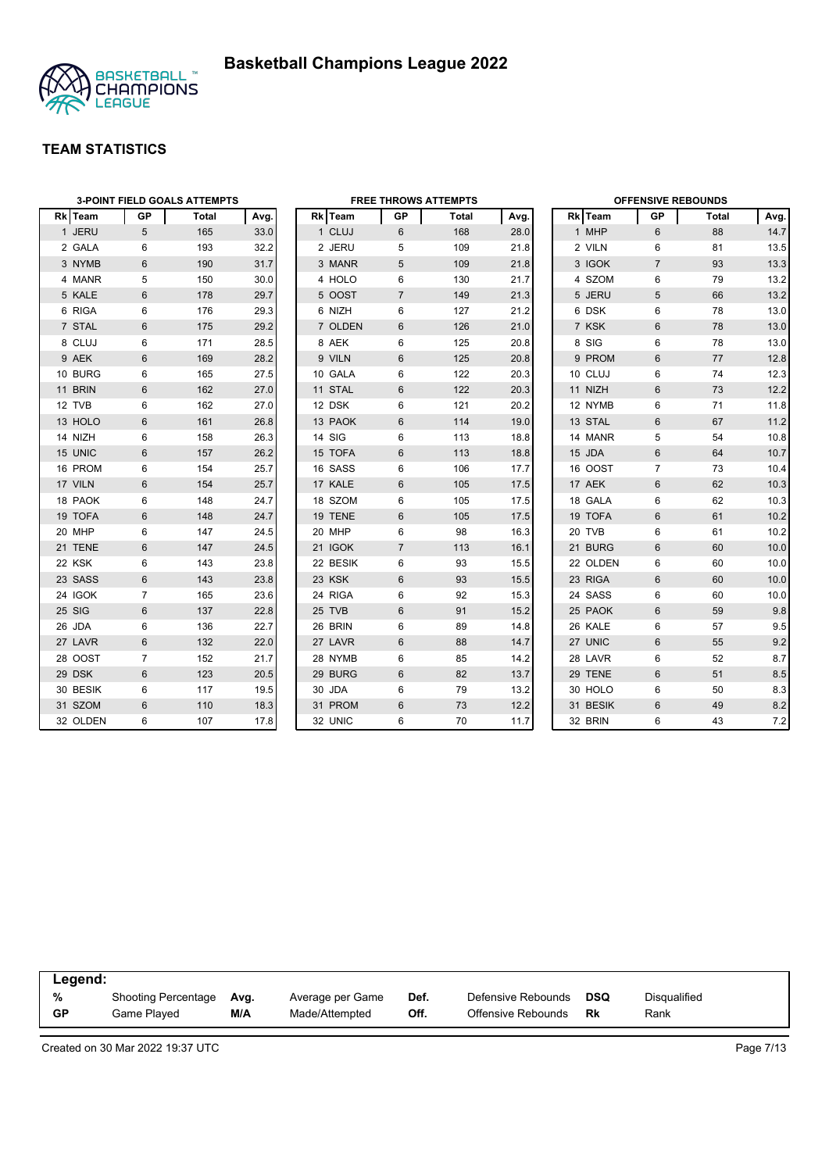

|          | <b>3-POINT FIELD GOALS ATTEMPTS</b> |       |      |  |          | <b>FREE THROWS ATTEMPTS</b> |       |      |  |          | <b>OFFENSIVE REBOUNDS</b> |       |      |  |  |
|----------|-------------------------------------|-------|------|--|----------|-----------------------------|-------|------|--|----------|---------------------------|-------|------|--|--|
| Rk Team  | GP                                  | Total | Avg. |  | Rk Team  | GP                          | Total | Avg. |  | Rk Team  | GP                        | Total | Avg. |  |  |
| 1 JERU   | 5                                   | 165   | 33.0 |  | 1 CLUJ   | 6                           | 168   | 28.0 |  | 1 MHP    | 6                         | 88    | 14.7 |  |  |
| 2 GALA   | 6                                   | 193   | 32.2 |  | 2 JERU   | 5                           | 109   | 21.8 |  | 2 VILN   | 6                         | 81    | 13.5 |  |  |
| 3 NYMB   | 6                                   | 190   | 31.7 |  | 3 MANR   | 5                           | 109   | 21.8 |  | 3 IGOK   | $\overline{7}$            | 93    | 13.3 |  |  |
| 4 MANR   | 5                                   | 150   | 30.0 |  | 4 HOLO   | 6                           | 130   | 21.7 |  | 4 SZOM   | 6                         | 79    | 13.2 |  |  |
| 5 KALE   | 6                                   | 178   | 29.7 |  | 5 OOST   | $\overline{7}$              | 149   | 21.3 |  | 5 JERU   | 5                         | 66    | 13.2 |  |  |
| 6 RIGA   | 6                                   | 176   | 29.3 |  | 6 NIZH   | 6                           | 127   | 21.2 |  | 6 DSK    | 6                         | 78    | 13.0 |  |  |
| 7 STAL   | $6\phantom{1}$                      | 175   | 29.2 |  | 7 OLDEN  | 6                           | 126   | 21.0 |  | 7 KSK    | $6\,$                     | 78    | 13.0 |  |  |
| 8 CLUJ   | 6                                   | 171   | 28.5 |  | 8 AEK    | 6                           | 125   | 20.8 |  | 8 SIG    | 6                         | 78    | 13.0 |  |  |
| 9 AEK    | $6\phantom{1}$                      | 169   | 28.2 |  | 9 VILN   | 6                           | 125   | 20.8 |  | 9 PROM   | 6                         | 77    | 12.8 |  |  |
| 10 BURG  | 6                                   | 165   | 27.5 |  | 10 GALA  | 6                           | 122   | 20.3 |  | 10 CLUJ  | 6                         | 74    | 12.3 |  |  |
| 11 BRIN  | 6                                   | 162   | 27.0 |  | 11 STAL  | 6                           | 122   | 20.3 |  | 11 NIZH  | 6                         | 73    | 12.2 |  |  |
| 12 TVB   | 6                                   | 162   | 27.0 |  | 12 DSK   | 6                           | 121   | 20.2 |  | 12 NYMB  | 6                         | 71    | 11.8 |  |  |
| 13 HOLO  | $6\phantom{.}6$                     | 161   | 26.8 |  | 13 PAOK  | $6\phantom{1}$              | 114   | 19.0 |  | 13 STAL  | $6\,$                     | 67    | 11.2 |  |  |
| 14 NIZH  | 6                                   | 158   | 26.3 |  | 14 SIG   | 6                           | 113   | 18.8 |  | 14 MANR  | 5                         | 54    | 10.8 |  |  |
| 15 UNIC  | 6                                   | 157   | 26.2 |  | 15 TOFA  | 6                           | 113   | 18.8 |  | 15 JDA   | $6\phantom{1}$            | 64    | 10.7 |  |  |
| 16 PROM  | 6                                   | 154   | 25.7 |  | 16 SASS  | 6                           | 106   | 17.7 |  | 16 OOST  | $\overline{7}$            | 73    | 10.4 |  |  |
| 17 VILN  | 6                                   | 154   | 25.7 |  | 17 KALE  | 6                           | 105   | 17.5 |  | 17 AEK   | 6                         | 62    | 10.3 |  |  |
| 18 PAOK  | 6                                   | 148   | 24.7 |  | 18 SZOM  | 6                           | 105   | 17.5 |  | 18 GALA  | 6                         | 62    | 10.3 |  |  |
| 19 TOFA  | 6                                   | 148   | 24.7 |  | 19 TENE  | 6                           | 105   | 17.5 |  | 19 TOFA  | 6                         | 61    | 10.2 |  |  |
| 20 MHP   | 6                                   | 147   | 24.5 |  | 20 MHP   | 6                           | 98    | 16.3 |  | 20 TVB   | 6                         | 61    | 10.2 |  |  |
| 21 TENE  | $6\phantom{1}$                      | 147   | 24.5 |  | 21 IGOK  | $\overline{7}$              | 113   | 16.1 |  | 21 BURG  | 6                         | 60    | 10.0 |  |  |
| 22 KSK   | 6                                   | 143   | 23.8 |  | 22 BESIK | 6                           | 93    | 15.5 |  | 22 OLDEN | 6                         | 60    | 10.0 |  |  |
| 23 SASS  | 6                                   | 143   | 23.8 |  | 23 KSK   | 6                           | 93    | 15.5 |  | 23 RIGA  | 6                         | 60    | 10.0 |  |  |
| 24 IGOK  | $\overline{7}$                      | 165   | 23.6 |  | 24 RIGA  | 6                           | 92    | 15.3 |  | 24 SASS  | 6                         | 60    | 10.0 |  |  |
| 25 SIG   | $6\phantom{1}$                      | 137   | 22.8 |  | 25 TVB   | 6                           | 91    | 15.2 |  | 25 PAOK  | 6                         | 59    | 9.8  |  |  |
| 26 JDA   | 6                                   | 136   | 22.7 |  | 26 BRIN  | 6                           | 89    | 14.8 |  | 26 KALE  | 6                         | 57    | 9.5  |  |  |
| 27 LAVR  | 6                                   | 132   | 22.0 |  | 27 LAVR  | 6                           | 88    | 14.7 |  | 27 UNIC  | 6                         | 55    | 9.2  |  |  |
| 28 OOST  | $\overline{7}$                      | 152   | 21.7 |  | 28 NYMB  | 6                           | 85    | 14.2 |  | 28 LAVR  | 6                         | 52    | 8.7  |  |  |
| 29 DSK   | 6                                   | 123   | 20.5 |  | 29 BURG  | 6                           | 82    | 13.7 |  | 29 TENE  | 6                         | 51    | 8.5  |  |  |
| 30 BESIK | 6                                   | 117   | 19.5 |  | 30 JDA   | 6                           | 79    | 13.2 |  | 30 HOLO  | 6                         | 50    | 8.3  |  |  |
| 31 SZOM  | 6                                   | 110   | 18.3 |  | 31 PROM  | 6                           | 73    | 12.2 |  | 31 BESIK | 6                         | 49    | 8.2  |  |  |
| 32 OLDEN | 6                                   | 107   | 17.8 |  | 32 UNIC  | 6                           | 70    | 11.7 |  | 32 BRIN  | 6                         | 43    | 7.2  |  |  |

| Legend:   |                     |      |                  |      |                    |     |                     |  |
|-----------|---------------------|------|------------------|------|--------------------|-----|---------------------|--|
| %         | Shooting Percentage | Avg. | Average per Game | Def. | Defensive Rebounds | DSQ | <b>Disqualified</b> |  |
| <b>GP</b> | Game Played         | M/A  | Made/Attempted   | Off. | Offensive Rebounds | Rk  | Rank                |  |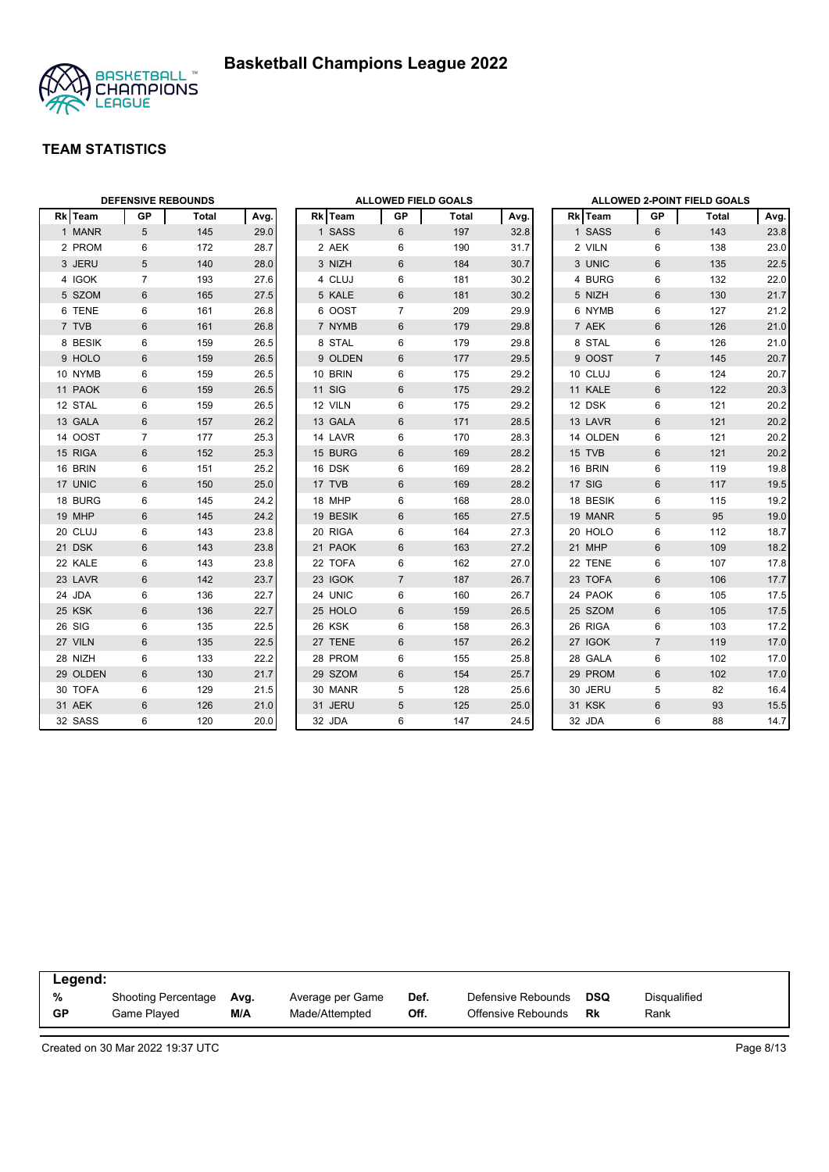



|         |          | <b>DEFENSIVE REBOUNDS</b> |       |      | <b>ALLOWED FIELD GOALS</b> |               |                |              |      | ALLOWED 2-POINT FIELD GOALS |          |                |       |      |
|---------|----------|---------------------------|-------|------|----------------------------|---------------|----------------|--------------|------|-----------------------------|----------|----------------|-------|------|
| Rk Team |          | <b>GP</b>                 | Total | Avg. |                            | Rk Team       | GP             | <b>Total</b> | Avg. |                             | Rk Team  | GP             | Total | Avg. |
|         | 1 MANR   | 5                         | 145   | 29.0 |                            | 1 SASS        | 6              | 197          | 32.8 |                             | 1 SASS   | 6              | 143   | 23.8 |
|         | 2 PROM   | 6                         | 172   | 28.7 |                            | 2 AEK         | 6              | 190          | 31.7 |                             | 2 VILN   | 6              | 138   | 23.0 |
|         | 3 JERU   | 5                         | 140   | 28.0 |                            | 3 NIZH        | 6              | 184          | 30.7 |                             | 3 UNIC   | 6              | 135   | 22.5 |
|         | 4 IGOK   | $\overline{7}$            | 193   | 27.6 |                            | 4 CLUJ        | 6              | 181          | 30.2 |                             | 4 BURG   | 6              | 132   | 22.0 |
|         | 5 SZOM   | 6                         | 165   | 27.5 |                            | 5 KALE        | 6              | 181          | 30.2 |                             | 5 NIZH   | 6              | 130   | 21.7 |
|         | 6 TENE   | 6                         | 161   | 26.8 |                            | 6 OOST        | $\overline{7}$ | 209          | 29.9 |                             | 6 NYMB   | 6              | 127   | 21.2 |
| 7 TVB   |          | 6                         | 161   | 26.8 |                            | 7 NYMB        | 6              | 179          | 29.8 |                             | 7 AEK    | 6              | 126   | 21.0 |
|         | 8 BESIK  | 6                         | 159   | 26.5 |                            | 8 STAL        | 6              | 179          | 29.8 |                             | 8 STAL   | 6              | 126   | 21.0 |
|         | 9 HOLO   | $6\phantom{1}$            | 159   | 26.5 |                            | 9 OLDEN       | 6              | 177          | 29.5 |                             | 9 OOST   | $\overline{7}$ | 145   | 20.7 |
|         | 10 NYMB  | 6                         | 159   | 26.5 |                            | 10 BRIN       | 6              | 175          | 29.2 |                             | 10 CLUJ  | 6              | 124   | 20.7 |
|         | 11 PAOK  | 6                         | 159   | 26.5 |                            | <b>11 SIG</b> | 6              | 175          | 29.2 |                             | 11 KALE  | 6              | 122   | 20.3 |
| 12 STAL |          | 6                         | 159   | 26.5 |                            | 12 VILN       | 6              | 175          | 29.2 |                             | 12 DSK   | 6              | 121   | 20.2 |
|         | 13 GALA  | 6                         | 157   | 26.2 |                            | 13 GALA       | 6              | 171          | 28.5 |                             | 13 LAVR  | 6              | 121   | 20.2 |
|         | 14 OOST  | $\overline{7}$            | 177   | 25.3 |                            | 14 LAVR       | 6              | 170          | 28.3 |                             | 14 OLDEN | 6              | 121   | 20.2 |
|         | 15 RIGA  | 6                         | 152   | 25.3 |                            | 15 BURG       | 6              | 169          | 28.2 |                             | 15 TVB   | 6              | 121   | 20.2 |
| 16 BRIN |          | 6                         | 151   | 25.2 |                            | 16 DSK        | 6              | 169          | 28.2 |                             | 16 BRIN  | 6              | 119   | 19.8 |
| 17 UNIC |          | 6                         | 150   | 25.0 |                            | 17 TVB        | 6              | 169          | 28.2 |                             | 17 SIG   | 6              | 117   | 19.5 |
|         | 18 BURG  | 6                         | 145   | 24.2 |                            | 18 MHP        | 6              | 168          | 28.0 |                             | 18 BESIK | 6              | 115   | 19.2 |
| 19 MHP  |          | $6\phantom{1}$            | 145   | 24.2 |                            | 19 BESIK      | 6              | 165          | 27.5 |                             | 19 MANR  | 5              | 95    | 19.0 |
| 20 CLUJ |          | 6                         | 143   | 23.8 |                            | 20 RIGA       | 6              | 164          | 27.3 |                             | 20 HOLO  | 6              | 112   | 18.7 |
| 21 DSK  |          | $6\phantom{1}$            | 143   | 23.8 |                            | 21 PAOK       | 6              | 163          | 27.2 |                             | 21 MHP   | $6\phantom{1}$ | 109   | 18.2 |
|         | 22 KALE  | 6                         | 143   | 23.8 |                            | 22 TOFA       | 6              | 162          | 27.0 |                             | 22 TENE  | 6              | 107   | 17.8 |
|         | 23 LAVR  | 6                         | 142   | 23.7 |                            | 23 IGOK       | $\overline{7}$ | 187          | 26.7 |                             | 23 TOFA  | $6\phantom{1}$ | 106   | 17.7 |
| 24 JDA  |          | 6                         | 136   | 22.7 |                            | 24 UNIC       | 6              | 160          | 26.7 |                             | 24 PAOK  | 6              | 105   | 17.5 |
| 25 KSK  |          | 6                         | 136   | 22.7 |                            | 25 HOLO       | 6              | 159          | 26.5 |                             | 25 SZOM  | $6\phantom{1}$ | 105   | 17.5 |
| 26 SIG  |          | 6                         | 135   | 22.5 |                            | 26 KSK        | 6              | 158          | 26.3 |                             | 26 RIGA  | 6              | 103   | 17.2 |
| 27 VILN |          | $6\phantom{1}$            | 135   | 22.5 |                            | 27 TENE       | 6              | 157          | 26.2 |                             | 27 IGOK  | $\overline{7}$ | 119   | 17.0 |
| 28 NIZH |          | 6                         | 133   | 22.2 |                            | 28 PROM       | 6              | 155          | 25.8 |                             | 28 GALA  | 6              | 102   | 17.0 |
|         | 29 OLDEN | 6                         | 130   | 21.7 |                            | 29 SZOM       | 6              | 154          | 25.7 |                             | 29 PROM  | 6              | 102   | 17.0 |
|         | 30 TOFA  | 6                         | 129   | 21.5 |                            | 30 MANR       | 5              | 128          | 25.6 |                             | 30 JERU  | 5              | 82    | 16.4 |
| 31 AEK  |          | $6\phantom{1}$            | 126   | 21.0 |                            | 31 JERU       | 5              | 125          | 25.0 |                             | 31 KSK   | $6\,$          | 93    | 15.5 |
|         | 32 SASS  | 6                         | 120   | 20.0 |                            | 32 JDA        | 6              | 147          | 24.5 |                             | 32 JDA   | 6              | 88    | 14.7 |

| Legend:   |                            |      |                  |      |                    |     |              |  |
|-----------|----------------------------|------|------------------|------|--------------------|-----|--------------|--|
| %         | <b>Shooting Percentage</b> | Avg. | Average per Game | Def. | Defensive Rebounds | DSQ | Disqualified |  |
| <b>GP</b> | Game Played                | M/A  | Made/Attempted   | Off. | Offensive Rebounds | Rk  | Rank         |  |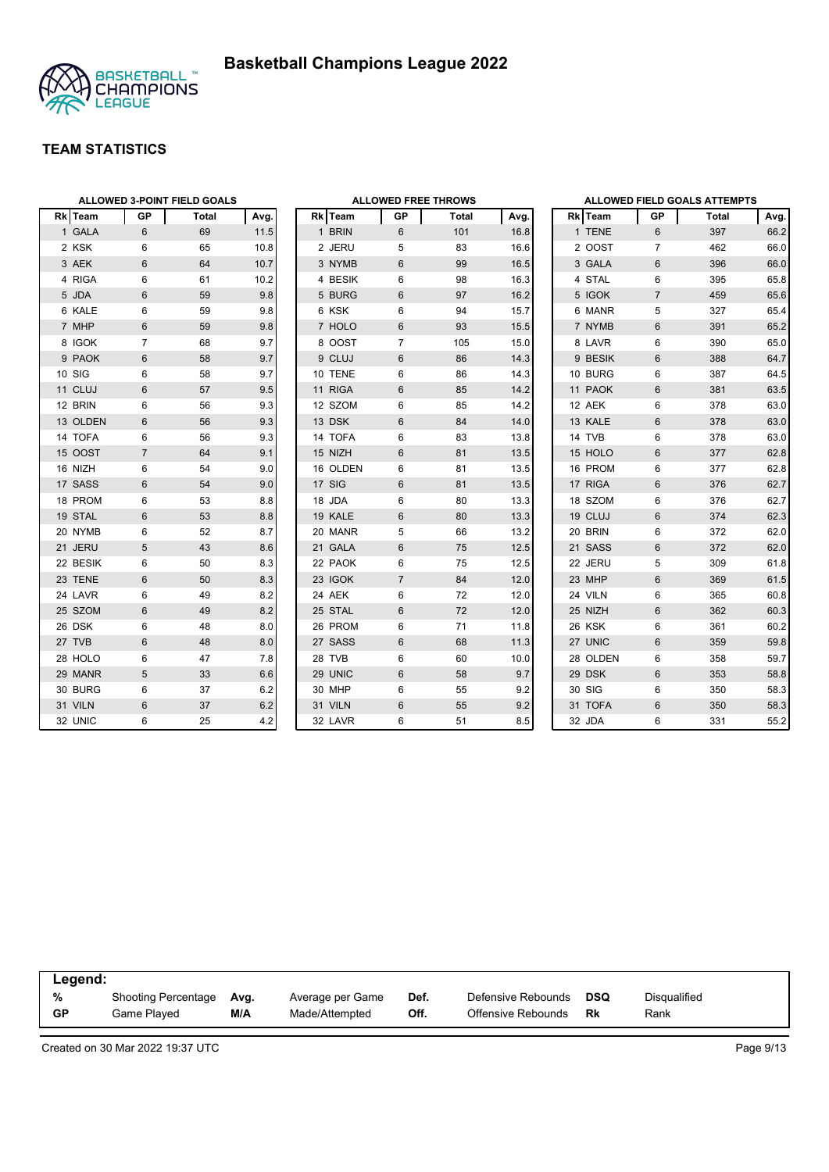

|          | <b>ALLOWED 3-POINT FIELD GOALS</b> |       |      |  | <b>ALLOWED FREE THROWS</b> |                |       |      |  | <b>ALLOWED FIELD GOALS ATTEMPTS</b> |                |       |      |  |
|----------|------------------------------------|-------|------|--|----------------------------|----------------|-------|------|--|-------------------------------------|----------------|-------|------|--|
| Rk Team  | GP                                 | Total | Avg. |  | Rk Team                    | GP             | Total | Avg. |  | Rk Team                             | GP             | Total | Avg. |  |
| 1 GALA   | 6                                  | 69    | 11.5 |  | 1 BRIN                     | 6              | 101   | 16.8 |  | 1 TENE                              | 6              | 397   | 66.2 |  |
| 2 KSK    | 6                                  | 65    | 10.8 |  | 2 JERU                     | 5              | 83    | 16.6 |  | 2 OOST                              | $\overline{7}$ | 462   | 66.0 |  |
| 3 AEK    | 6                                  | 64    | 10.7 |  | 3 NYMB                     | $6\,$          | 99    | 16.5 |  | 3 GALA                              | $6\phantom{1}$ | 396   | 66.0 |  |
| 4 RIGA   | 6                                  | 61    | 10.2 |  | 4 BESIK                    | 6              | 98    | 16.3 |  | 4 STAL                              | 6              | 395   | 65.8 |  |
| 5 JDA    | 6                                  | 59    | 9.8  |  | 5 BURG                     | 6              | 97    | 16.2 |  | 5 IGOK                              | $\overline{7}$ | 459   | 65.6 |  |
| 6 KALE   | 6                                  | 59    | 9.8  |  | 6 KSK                      | 6              | 94    | 15.7 |  | 6 MANR                              | 5              | 327   | 65.4 |  |
| 7 MHP    | 6                                  | 59    | 9.8  |  | 7 HOLO                     | 6              | 93    | 15.5 |  | 7 NYMB                              | 6              | 391   | 65.2 |  |
| 8 IGOK   | $\overline{7}$                     | 68    | 9.7  |  | 8 OOST                     | $\overline{7}$ | 105   | 15.0 |  | 8 LAVR                              | 6              | 390   | 65.0 |  |
| 9 PAOK   | 6                                  | 58    | 9.7  |  | 9 CLUJ                     | 6              | 86    | 14.3 |  | 9 BESIK                             | 6              | 388   | 64.7 |  |
| 10 SIG   | 6                                  | 58    | 9.7  |  | 10 TENE                    | 6              | 86    | 14.3 |  | 10 BURG                             | 6              | 387   | 64.5 |  |
| 11 CLUJ  | $6\phantom{1}$                     | 57    | 9.5  |  | 11 RIGA                    | 6              | 85    | 14.2 |  | 11 PAOK                             | 6              | 381   | 63.5 |  |
| 12 BRIN  | 6                                  | 56    | 9.3  |  | 12 SZOM                    | 6              | 85    | 14.2 |  | 12 AEK                              | 6              | 378   | 63.0 |  |
| 13 OLDEN | 6                                  | 56    | 9.3  |  | 13 DSK                     | 6              | 84    | 14.0 |  | 13 KALE                             | $6\phantom{1}$ | 378   | 63.0 |  |
| 14 TOFA  | 6                                  | 56    | 9.3  |  | 14 TOFA                    | 6              | 83    | 13.8 |  | 14 TVB                              | 6              | 378   | 63.0 |  |
| 15 OOST  | $\overline{7}$                     | 64    | 9.1  |  | 15 NIZH                    | 6              | 81    | 13.5 |  | 15 HOLO                             | 6              | 377   | 62.8 |  |
| 16 NIZH  | 6                                  | 54    | 9.0  |  | 16 OLDEN                   | 6              | 81    | 13.5 |  | 16 PROM                             | 6              | 377   | 62.8 |  |
| 17 SASS  | 6                                  | 54    | 9.0  |  | 17 SIG                     | 6              | 81    | 13.5 |  | 17 RIGA                             | 6              | 376   | 62.7 |  |
| 18 PROM  | 6                                  | 53    | 8.8  |  | 18 JDA                     | 6              | 80    | 13.3 |  | 18 SZOM                             | 6              | 376   | 62.7 |  |
| 19 STAL  | $6\phantom{1}$                     | 53    | 8.8  |  | 19 KALE                    | 6              | 80    | 13.3 |  | 19 CLUJ                             | 6              | 374   | 62.3 |  |
| 20 NYMB  | 6                                  | 52    | 8.7  |  | 20 MANR                    | 5              | 66    | 13.2 |  | 20 BRIN                             | 6              | 372   | 62.0 |  |
| 21 JERU  | 5                                  | 43    | 8.6  |  | 21 GALA                    | 6              | 75    | 12.5 |  | 21 SASS                             | 6              | 372   | 62.0 |  |
| 22 BESIK | 6                                  | 50    | 8.3  |  | 22 PAOK                    | 6              | 75    | 12.5 |  | 22 JERU                             | 5              | 309   | 61.8 |  |
| 23 TENE  | 6                                  | 50    | 8.3  |  | 23 IGOK                    | $\overline{7}$ | 84    | 12.0 |  | 23 MHP                              | 6              | 369   | 61.5 |  |
| 24 LAVR  | 6                                  | 49    | 8.2  |  | 24 AEK                     | 6              | 72    | 12.0 |  | 24 VILN                             | 6              | 365   | 60.8 |  |
| 25 SZOM  | 6                                  | 49    | 8.2  |  | 25 STAL                    | 6              | 72    | 12.0 |  | 25 NIZH                             | 6              | 362   | 60.3 |  |
| 26 DSK   | 6                                  | 48    | 8.0  |  | 26 PROM                    | 6              | 71    | 11.8 |  | 26 KSK                              | 6              | 361   | 60.2 |  |
| 27 TVB   | $6\phantom{1}$                     | 48    | 8.0  |  | 27 SASS                    | 6              | 68    | 11.3 |  | 27 UNIC                             | 6              | 359   | 59.8 |  |
| 28 HOLO  | 6                                  | 47    | 7.8  |  | 28 TVB                     | 6              | 60    | 10.0 |  | 28 OLDEN                            | 6              | 358   | 59.7 |  |
| 29 MANR  | 5                                  | 33    | 6.6  |  | 29 UNIC                    | 6              | 58    | 9.7  |  | 29 DSK                              | 6              | 353   | 58.8 |  |
| 30 BURG  | 6                                  | 37    | 6.2  |  | 30 MHP                     | 6              | 55    | 9.2  |  | 30 SIG                              | 6              | 350   | 58.3 |  |
| 31 VILN  | $6\phantom{1}$                     | 37    | 6.2  |  | 31 VILN                    | 6              | 55    | 9.2  |  | 31 TOFA                             | 6              | 350   | 58.3 |  |
| 32 UNIC  | 6                                  | 25    | 4.2  |  | 32 LAVR                    | 6              | 51    | 8.5  |  | 32 JDA                              | 6              | 331   | 55.2 |  |

| Legend:   |                            |      |                  |      |                    |     |              |  |
|-----------|----------------------------|------|------------------|------|--------------------|-----|--------------|--|
| %         | <b>Shooting Percentage</b> | Avg. | Average per Game | Def. | Defensive Rebounds | DSQ | Disqualified |  |
| <b>GP</b> | Game Played                | M/A  | Made/Attempted   | Off. | Offensive Rebounds | Rk  | Rank         |  |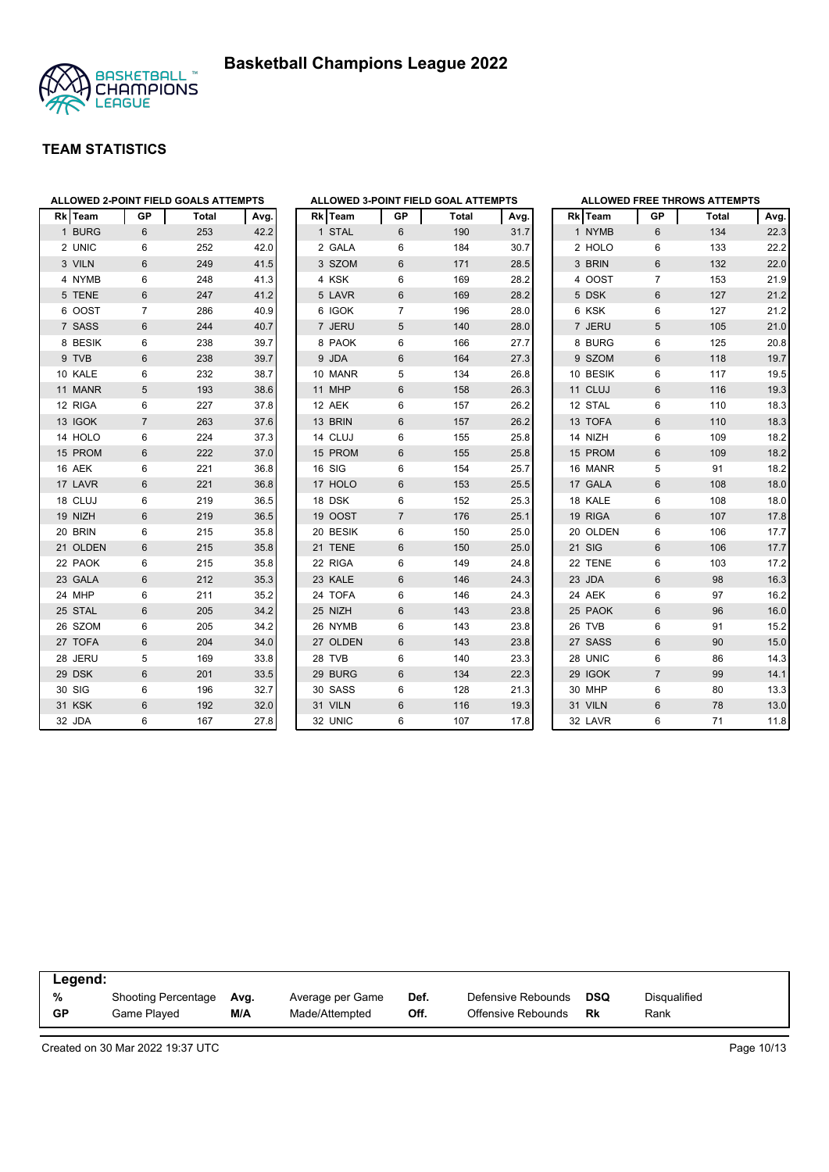



|              |                |                | ALLOWED 2-POINT FIELD GOALS ATTEMPTS |      | A              |
|--------------|----------------|----------------|--------------------------------------|------|----------------|
|              | <b>Rk</b> Team | GP             | <b>Total</b>                         | Avg. | R              |
| $\mathbf{1}$ | <b>BURG</b>    | 6              | 253                                  | 42.2 |                |
|              | 2 UNIC         | 6              | 252                                  | 42.0 |                |
|              | 3 VILN         | 6              | 249                                  | 41.5 |                |
|              | 4 NYMB         | 6              | 248                                  | 41.3 |                |
|              | 5 TENE         | 6              | 247                                  | 41.2 |                |
|              | 6 OOST         | 7              | 286                                  | 40.9 |                |
|              | 7 SASS         | 6              | 244                                  | 40.7 |                |
|              | 8 BESIK        | 6              | 238                                  | 39.7 |                |
|              | 9 TVB          | 6              | 238                                  | 39.7 |                |
|              | 10 KALE        | 6              | 232                                  | 38.7 | $\overline{1}$ |
|              | 11 MANR        | 5              | 193                                  | 38.6 | 1 <sup>1</sup> |
|              | 12 RIGA        | 6              | 227                                  | 37.8 | 1:             |
|              | 13 IGOK        | $\overline{7}$ | 263                                  | 37.6 | 1:             |
|              | 14 HOLO        | 6              | 224                                  | 37.3 | 1.             |
|              | 15 PROM        | 6              | 222                                  | 37.0 | 1!             |
|              | 16 AEK         | 6              | 221                                  | 36.8 | $\overline{1}$ |
|              | 17 LAVR        | 6              | 221                                  | 36.8 | 1              |
|              | 18 CLUJ        | 6              | 219                                  | 36.5 | 1 <sub>i</sub> |
|              | 19 NIZH        | 6              | 219                                  | 36.5 | 1 <sup>1</sup> |
|              | 20 BRIN        | 6              | 215                                  | 35.8 | $\overline{2}$ |
|              | 21 OLDEN       | 6              | 215                                  | 35.8 | $2^{\circ}$    |
|              | 22 PAOK        | 6              | 215                                  | 35.8 | 2:             |
|              | 23 GALA        | 6              | 212                                  | 35.3 | 2:             |
|              | 24 MHP         | 6              | 211                                  | 35.2 | $\overline{c}$ |
|              | 25 STAL        | 6              | 205                                  | 34.2 | 2!             |
|              | 26 SZOM        | 6              | 205                                  | 34.2 | $\overline{2}$ |
|              | 27 TOFA        | 6              | 204                                  | 34.0 | $2^{r}$        |
|              | 28 JERU        | 5              | 169                                  | 33.8 | 2 <sub>i</sub> |
|              | 29 DSK         | 6              | 201                                  | 33.5 | 2!             |
|              | 30 SIG         | 6              | 196                                  | 32.7 | $\overline{3}$ |
|              | 31 KSK         | 6              | 192                                  | 32.0 | 3 <sup>5</sup> |
|              | 32 JDA         | 6              | 167                                  | 27.8 | 3              |

|                |                |                | ALLOWED 3-POINT FIELD GOAL ATTEMPTS |      |
|----------------|----------------|----------------|-------------------------------------|------|
|                | <b>Rk</b> Team | GP             | <b>Total</b>                        | Avg. |
| 1              | <b>STAL</b>    | 6              | 190                                 | 31.7 |
| 2              | <b>GALA</b>    | 6              | 184                                 | 30.7 |
| 3              | <b>SZOM</b>    | 6              | 171                                 | 28.5 |
| 4              | <b>KSK</b>     | 6              | 169                                 | 28.2 |
| 5              | LAVR           | 6              | 169                                 | 28.2 |
| 6              | <b>IGOK</b>    | $\overline{7}$ | 196                                 | 28.0 |
| $\overline{7}$ | <b>JERU</b>    | 5              | 140                                 | 28.0 |
| 8              | <b>PAOK</b>    | 6              | 166                                 | 27.7 |
| 9              | <b>JDA</b>     | 6              | 164                                 | 27.3 |
| 10             | <b>MANR</b>    | 5              | 134                                 | 26.8 |
| 11             | <b>MHP</b>     | 6              | 158                                 | 26.3 |
| 12             | <b>AEK</b>     | 6              | 157                                 | 26.2 |
| 13             | <b>BRIN</b>    | 6              | 157                                 | 26.2 |
|                | 14 CLUJ        | 6              | 155                                 | 25.8 |
|                | 15 PROM        | 6              | 155                                 | 25.8 |
|                | 16 SIG         | 6              | 154                                 | 25.7 |
|                | 17 HOLO        | 6              | 153                                 | 25.5 |
|                | 18 DSK         | 6              | 152                                 | 25.3 |
|                | 19 OOST        | $\overline{7}$ | 176                                 | 25.1 |
| 20             | <b>BESIK</b>   | 6              | 150                                 | 25.0 |
| 21             | <b>TENE</b>    | 6              | 150                                 | 25.0 |
| 22             | <b>RIGA</b>    | 6              | 149                                 | 24.8 |
| 23             | <b>KALE</b>    | 6              | 146                                 | 24.3 |
| 24             | <b>TOFA</b>    | 6              | 146                                 | 24.3 |
| 25             | <b>NIZH</b>    | 6              | 143                                 | 23.8 |
| 26             | <b>NYMB</b>    | 6              | 143                                 | 23.8 |
|                | 27 OLDEN       | 6              | 143                                 | 23.8 |
|                | 28 TVB         | 6              | 140                                 | 23.3 |
| 29             | <b>BURG</b>    | 6              | 134                                 | 22.3 |
| 30             | SASS           | 6              | 128                                 | 21.3 |
| 31             | <b>VILN</b>    | 6              | 116                                 | 19.3 |
| 32             | <b>UNIC</b>    | 6              | 107                                 | 17.8 |
|                |                |                |                                     |      |

|                |             |                | <b>ALLOWED FREE THROWS ATTEMPTS</b> |      |
|----------------|-------------|----------------|-------------------------------------|------|
|                | Rk Team     | GP             | <b>Total</b>                        | Avg. |
|                | 1 NYMB      | 6              | 134                                 | 22.3 |
|                | 2 HOLO      | 6              | 133                                 | 22.2 |
|                | 3 BRIN      | 6              | 132                                 | 22.0 |
|                | 4 OOST      | 7              | 153                                 | 21.9 |
| 5              | <b>DSK</b>  | 6              | 127                                 | 21.2 |
|                | 6 KSK       | 6              | 127                                 | 21.2 |
| $\overline{7}$ | <b>JERU</b> | 5              | 105                                 | 21.0 |
|                | 8 BURG      | 6              | 125                                 | 20.8 |
| 9              | <b>SZOM</b> | 6              | 118                                 | 19.7 |
|                | 10 BESIK    | 6              | 117                                 | 19.5 |
|                | 11 CLUJ     | 6              | 116                                 | 19.3 |
|                | 12 STAL     | 6              | 110                                 | 18.3 |
|                | 13 TOFA     | 6              | 110                                 | 18.3 |
|                | 14 NIZH     | 6              | 109                                 | 18.2 |
|                | 15 PROM     | 6              | 109                                 | 18.2 |
|                | 16 MANR     | 5              | 91                                  | 18.2 |
|                | 17 GALA     | 6              | 108                                 | 18.0 |
|                | 18 KALE     | 6              | 108                                 | 18.0 |
|                | 19 RIGA     | 6              | 107                                 | 17.8 |
|                | 20 OLDEN    | 6              | 106                                 | 17.7 |
|                | 21 SIG      | 6              | 106                                 | 17.7 |
|                | 22 TENE     | 6              | 103                                 | 17.2 |
|                | 23 JDA      | 6              | 98                                  | 16.3 |
|                | 24 AEK      | 6              | 97                                  | 16.2 |
|                | 25 PAOK     | 6              | 96                                  | 16.0 |
|                | 26 TVB      | 6              | 91                                  | 15.2 |
|                | 27 SASS     | 6              | 90                                  | 15.0 |
|                | 28 UNIC     | 6              | 86                                  | 14.3 |
|                | 29 IGOK     | $\overline{7}$ | 99                                  | 14.1 |
|                | 30 MHP      | 6              | 80                                  | 13.3 |
|                | 31 VILN     | 6              | 78                                  | 13.0 |
|                | 32 LAVR     | 6              | 71                                  | 11.8 |

|           | Legend:             |      |                  |      |                    |     |              |  |  |  |  |
|-----------|---------------------|------|------------------|------|--------------------|-----|--------------|--|--|--|--|
| %         | Shooting Percentage | Avg. | Average per Game | Def. | Defensive Rebounds | DSQ | Disqualified |  |  |  |  |
| <b>GP</b> | Game Plaved         | M/A  | Made/Attempted   | Off. | Offensive Rebounds | Rk  | Rank         |  |  |  |  |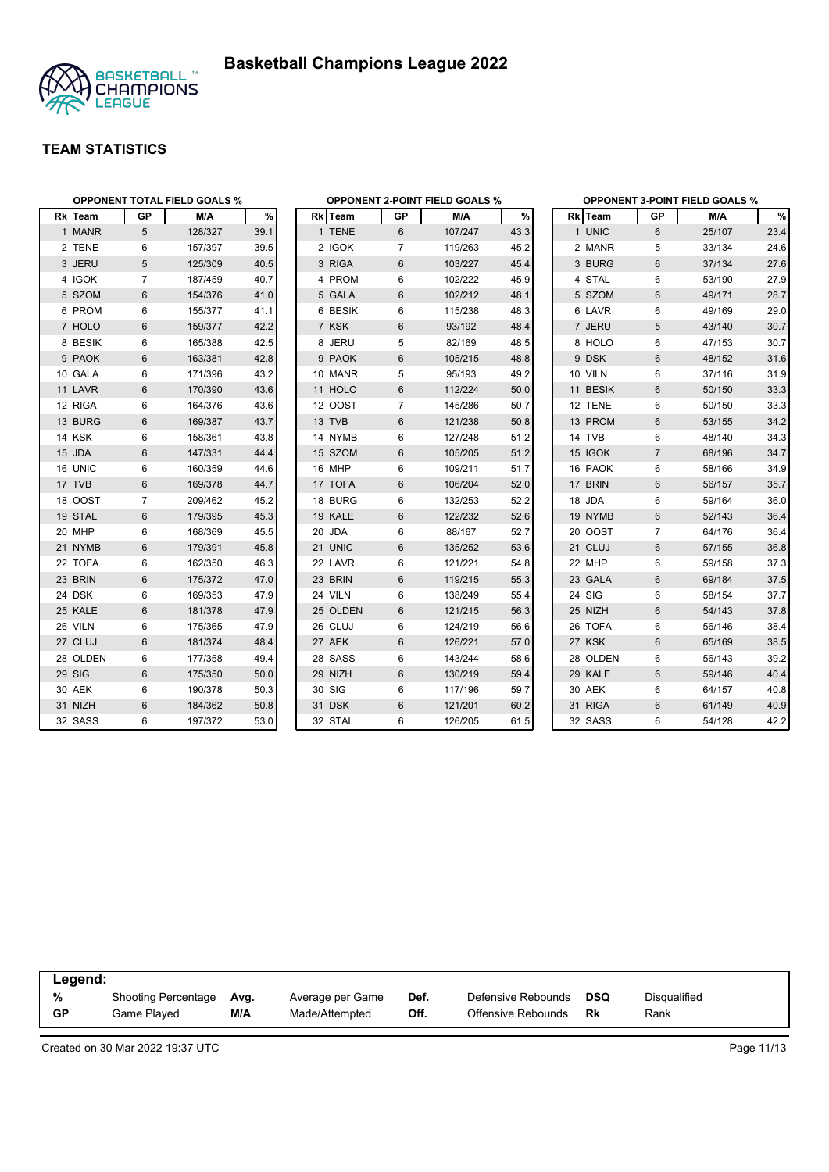



|          | <b>OPPONENT TOTAL FIELD GOALS %</b> |         |      |          |           | <b>OPPONENT 2-POINT FIELD GOALS %</b> |      | <b>OPPONENT 3-POINT FIELD GOALS %</b> |                |        |      |  |
|----------|-------------------------------------|---------|------|----------|-----------|---------------------------------------|------|---------------------------------------|----------------|--------|------|--|
| Rk Team  | <b>GP</b>                           | M/A     | %    | Rk Team  | <b>GP</b> | M/A                                   | $\%$ | Rk Team                               | GP             | M/A    | $\%$ |  |
| 1 MANR   | 5                                   | 128/327 | 39.1 | 1 TENE   | 6         | 107/247                               | 43.3 | 1 UNIC                                | 6              | 25/107 | 23.4 |  |
| 2 TENE   | 6                                   | 157/397 | 39.5 | 2 IGOK   | 7         | 119/263                               | 45.2 | 2 MANR                                | 5              | 33/134 | 24.6 |  |
| 3 JERU   | $\sqrt{5}$                          | 125/309 | 40.5 | 3 RIGA   | 6         | 103/227                               | 45.4 | 3 BURG                                | $\,6\,$        | 37/134 | 27.6 |  |
| 4 IGOK   | $\overline{7}$                      | 187/459 | 40.7 | 4 PROM   | 6         | 102/222                               | 45.9 | 4 STAL                                | 6              | 53/190 | 27.9 |  |
| 5 SZOM   | $6\phantom{1}$                      | 154/376 | 41.0 | 5 GALA   | 6         | 102/212                               | 48.1 | 5 SZOM                                | $6\phantom{1}$ | 49/171 | 28.7 |  |
| 6 PROM   | 6                                   | 155/377 | 41.1 | 6 BESIK  | 6         | 115/238                               | 48.3 | 6 LAVR                                | 6              | 49/169 | 29.0 |  |
| 7 HOLO   | 6                                   | 159/377 | 42.2 | 7 KSK    | 6         | 93/192                                | 48.4 | 7 JERU                                | 5              | 43/140 | 30.7 |  |
| 8 BESIK  | 6                                   | 165/388 | 42.5 | 8 JERU   | 5         | 82/169                                | 48.5 | 8 HOLO                                | 6              | 47/153 | 30.7 |  |
| 9 PAOK   | 6                                   | 163/381 | 42.8 | 9 PAOK   | 6         | 105/215                               | 48.8 | 9 DSK                                 | 6              | 48/152 | 31.6 |  |
| 10 GALA  | 6                                   | 171/396 | 43.2 | 10 MANR  | 5         | 95/193                                | 49.2 | 10 VILN                               | 6              | 37/116 | 31.9 |  |
| 11 LAVR  | 6                                   | 170/390 | 43.6 | 11 HOLO  | 6         | 112/224                               | 50.0 | 11 BESIK                              | 6              | 50/150 | 33.3 |  |
| 12 RIGA  | 6                                   | 164/376 | 43.6 | 12 OOST  | 7         | 145/286                               | 50.7 | 12 TENE                               | 6              | 50/150 | 33.3 |  |
| 13 BURG  | 6                                   | 169/387 | 43.7 | 13 TVB   | 6         | 121/238                               | 50.8 | 13 PROM                               | 6              | 53/155 | 34.2 |  |
| 14 KSK   | 6                                   | 158/361 | 43.8 | 14 NYMB  | 6         | 127/248                               | 51.2 | 14 TVB                                | 6              | 48/140 | 34.3 |  |
| 15 JDA   | 6                                   | 147/331 | 44.4 | 15 SZOM  | 6         | 105/205                               | 51.2 | 15 IGOK                               | $\overline{7}$ | 68/196 | 34.7 |  |
| 16 UNIC  | 6                                   | 160/359 | 44.6 | 16 MHP   | 6         | 109/211                               | 51.7 | 16 PAOK                               | 6              | 58/166 | 34.9 |  |
| 17 TVB   | 6                                   | 169/378 | 44.7 | 17 TOFA  | 6         | 106/204                               | 52.0 | 17 BRIN                               | 6              | 56/157 | 35.7 |  |
| 18 OOST  | $\overline{7}$                      | 209/462 | 45.2 | 18 BURG  | 6         | 132/253                               | 52.2 | 18 JDA                                | 6              | 59/164 | 36.0 |  |
| 19 STAL  | 6                                   | 179/395 | 45.3 | 19 KALE  | 6         | 122/232                               | 52.6 | 19 NYMB                               | 6              | 52/143 | 36.4 |  |
| 20 MHP   | 6                                   | 168/369 | 45.5 | 20 JDA   | 6         | 88/167                                | 52.7 | 20 OOST                               | $\overline{7}$ | 64/176 | 36.4 |  |
| 21 NYMB  | 6                                   | 179/391 | 45.8 | 21 UNIC  | 6         | 135/252                               | 53.6 | 21 CLUJ                               | 6              | 57/155 | 36.8 |  |
| 22 TOFA  | 6                                   | 162/350 | 46.3 | 22 LAVR  | 6         | 121/221                               | 54.8 | 22 MHP                                | 6              | 59/158 | 37.3 |  |
| 23 BRIN  | 6                                   | 175/372 | 47.0 | 23 BRIN  | 6         | 119/215                               | 55.3 | 23 GALA                               | $6\phantom{1}$ | 69/184 | 37.5 |  |
| 24 DSK   | 6                                   | 169/353 | 47.9 | 24 VILN  | 6         | 138/249                               | 55.4 | 24 SIG                                | 6              | 58/154 | 37.7 |  |
| 25 KALE  | 6                                   | 181/378 | 47.9 | 25 OLDEN | 6         | 121/215                               | 56.3 | 25 NIZH                               | 6              | 54/143 | 37.8 |  |
| 26 VILN  | 6                                   | 175/365 | 47.9 | 26 CLUJ  | 6         | 124/219                               | 56.6 | 26 TOFA                               | 6              | 56/146 | 38.4 |  |
| 27 CLUJ  | 6                                   | 181/374 | 48.4 | 27 AEK   | 6         | 126/221                               | 57.0 | 27 KSK                                | 6              | 65/169 | 38.5 |  |
| 28 OLDEN | 6                                   | 177/358 | 49.4 | 28 SASS  | 6         | 143/244                               | 58.6 | 28 OLDEN                              | 6              | 56/143 | 39.2 |  |
| 29 SIG   | 6                                   | 175/350 | 50.0 | 29 NIZH  | 6         | 130/219                               | 59.4 | 29 KALE                               | 6              | 59/146 | 40.4 |  |
| 30 AEK   | 6                                   | 190/378 | 50.3 | 30 SIG   | 6         | 117/196                               | 59.7 | 30 AEK                                | 6              | 64/157 | 40.8 |  |
| 31 NIZH  | $6\phantom{1}$                      | 184/362 | 50.8 | 31 DSK   | 6         | 121/201                               | 60.2 | 31 RIGA                               | 6              | 61/149 | 40.9 |  |
| 32 SASS  | 6                                   | 197/372 | 53.0 | 32 STAL  | 6         | 126/205                               | 61.5 | 32 SASS                               | 6              | 54/128 | 42.2 |  |

| Legend:   |                     |      |                  |      |                    |            |              |  |
|-----------|---------------------|------|------------------|------|--------------------|------------|--------------|--|
| %         | Shooting Percentage | Avg. | Average per Game | Def. | Defensive Rebounds | <b>DSQ</b> | Disqualified |  |
| <b>GP</b> | Game Played         | M/A  | Made/Attempted   | Off. | Offensive Rebounds | Rk         | Rank         |  |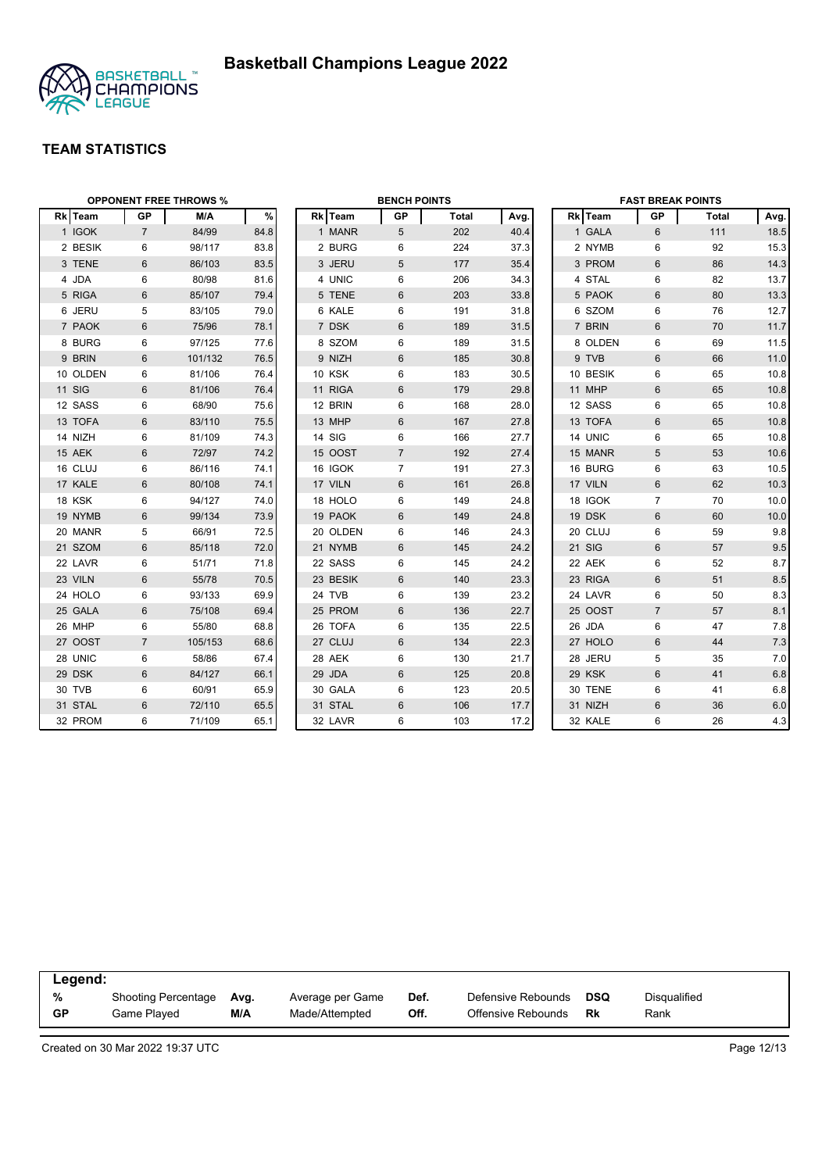

| <b>OPPONENT FREE THROWS %</b> |                |         |      |  | <b>BENCH POINTS</b> |                |              |      | <b>FAST BREAK POINTS</b> |          |                 |              |      |
|-------------------------------|----------------|---------|------|--|---------------------|----------------|--------------|------|--------------------------|----------|-----------------|--------------|------|
| Rk Team                       | <b>GP</b>      | M/A     | $\%$ |  | Rk Team             | GP             | <b>Total</b> | Avg. |                          | Rk Team  | GP              | <b>Total</b> | Avg. |
| 1 IGOK                        | $\overline{7}$ | 84/99   | 84.8 |  | 1 MANR              | 5              | 202          | 40.4 |                          | 1 GALA   | 6               | 111          | 18.5 |
| 2 BESIK                       | 6              | 98/117  | 83.8 |  | 2 BURG              | 6              | 224          | 37.3 |                          | 2 NYMB   | 6               | 92           | 15.3 |
| 3 TENE                        | 6              | 86/103  | 83.5 |  | 3 JERU              | 5              | 177          | 35.4 |                          | 3 PROM   | 6               | 86           | 14.3 |
| 4 JDA                         | 6              | 80/98   | 81.6 |  | 4 UNIC              | 6              | 206          | 34.3 |                          | 4 STAL   | 6               | 82           | 13.7 |
| 5 RIGA                        | 6              | 85/107  | 79.4 |  | 5 TENE              | 6              | 203          | 33.8 |                          | 5 PAOK   | 6               | 80           | 13.3 |
| 6 JERU                        | 5              | 83/105  | 79.0 |  | 6 KALE              | 6              | 191          | 31.8 |                          | 6 SZOM   | 6               | 76           | 12.7 |
| 7 PAOK                        | 6              | 75/96   | 78.1 |  | 7 DSK               | 6              | 189          | 31.5 |                          | 7 BRIN   | 6               | 70           | 11.7 |
| 8 BURG                        | 6              | 97/125  | 77.6 |  | 8 SZOM              | 6              | 189          | 31.5 |                          | 8 OLDEN  | 6               | 69           | 11.5 |
| 9 BRIN                        | 6              | 101/132 | 76.5 |  | 9 NIZH              | 6              | 185          | 30.8 |                          | 9 TVB    | 6               | 66           | 11.0 |
| 10 OLDEN                      | 6              | 81/106  | 76.4 |  | <b>10 KSK</b>       | 6              | 183          | 30.5 |                          | 10 BESIK | 6               | 65           | 10.8 |
| <b>11 SIG</b>                 | $6\phantom{1}$ | 81/106  | 76.4 |  | 11 RIGA             | 6              | 179          | 29.8 |                          | 11 MHP   | 6               | 65           | 10.8 |
| 12 SASS                       | 6              | 68/90   | 75.6 |  | 12 BRIN             | 6              | 168          | 28.0 |                          | 12 SASS  | 6               | 65           | 10.8 |
| 13 TOFA                       | 6              | 83/110  | 75.5 |  | 13 MHP              | 6              | 167          | 27.8 |                          | 13 TOFA  | $6\phantom{1}6$ | 65           | 10.8 |
| 14 NIZH                       | 6              | 81/109  | 74.3 |  | <b>14 SIG</b>       | 6              | 166          | 27.7 |                          | 14 UNIC  | 6               | 65           | 10.8 |
| 15 AEK                        | 6              | 72/97   | 74.2 |  | 15 OOST             | $\overline{7}$ | 192          | 27.4 |                          | 15 MANR  | 5               | 53           | 10.6 |
| 16 CLUJ                       | 6              | 86/116  | 74.1 |  | 16 IGOK             | $\overline{7}$ | 191          | 27.3 |                          | 16 BURG  | 6               | 63           | 10.5 |
| 17 KALE                       | 6              | 80/108  | 74.1 |  | 17 VILN             | 6              | 161          | 26.8 |                          | 17 VILN  | 6               | 62           | 10.3 |
| 18 KSK                        | 6              | 94/127  | 74.0 |  | 18 HOLO             | 6              | 149          | 24.8 |                          | 18 IGOK  | $\overline{7}$  | 70           | 10.0 |
| 19 NYMB                       | $6\phantom{1}$ | 99/134  | 73.9 |  | 19 PAOK             | 6              | 149          | 24.8 |                          | 19 DSK   | 6               | 60           | 10.0 |
| 20 MANR                       | 5              | 66/91   | 72.5 |  | 20 OLDEN            | 6              | 146          | 24.3 |                          | 20 CLUJ  | 6               | 59           | 9.8  |
| 21 SZOM                       | 6              | 85/118  | 72.0 |  | 21 NYMB             | 6              | 145          | 24.2 |                          | 21 SIG   | 6               | 57           | 9.5  |
| 22 LAVR                       | 6              | 51/71   | 71.8 |  | 22 SASS             | 6              | 145          | 24.2 |                          | 22 AEK   | 6               | 52           | 8.7  |
| 23 VILN                       | 6              | 55/78   | 70.5 |  | 23 BESIK            | 6              | 140          | 23.3 |                          | 23 RIGA  | 6               | 51           | 8.5  |
| 24 HOLO                       | 6              | 93/133  | 69.9 |  | 24 TVB              | 6              | 139          | 23.2 |                          | 24 LAVR  | 6               | 50           | 8.3  |
| 25 GALA                       | 6              | 75/108  | 69.4 |  | 25 PROM             | 6              | 136          | 22.7 |                          | 25 OOST  | $\overline{7}$  | 57           | 8.1  |
| 26 MHP                        | 6              | 55/80   | 68.8 |  | 26 TOFA             | 6              | 135          | 22.5 |                          | 26 JDA   | 6               | 47           | 7.8  |
| 27 OOST                       | $\overline{7}$ | 105/153 | 68.6 |  | 27 CLUJ             | 6              | 134          | 22.3 |                          | 27 HOLO  | 6               | 44           | 7.3  |
| 28 UNIC                       | 6              | 58/86   | 67.4 |  | 28 AEK              | 6              | 130          | 21.7 |                          | 28 JERU  | 5               | 35           | 7.0  |
| 29 DSK                        | 6              | 84/127  | 66.1 |  | 29 JDA              | 6              | 125          | 20.8 |                          | 29 KSK   | 6               | 41           | 6.8  |
| 30 TVB                        | 6              | 60/91   | 65.9 |  | 30 GALA             | 6              | 123          | 20.5 |                          | 30 TENE  | 6               | 41           | 6.8  |
| 31 STAL                       | 6              | 72/110  | 65.5 |  | 31 STAL             | 6              | 106          | 17.7 |                          | 31 NIZH  | 6               | 36           | 6.0  |
| 32 PROM                       | 6              | 71/109  | 65.1 |  | 32 LAVR             | 6              | 103          | 17.2 |                          | 32 KALE  | 6               | 26           | 4.3  |

| Legend: |                            |      |                  |      |                    |     |              |  |  |
|---------|----------------------------|------|------------------|------|--------------------|-----|--------------|--|--|
| %       | <b>Shooting Percentage</b> | Avg. | Average per Game | Def. | Defensive Rebounds | DSQ | Disqualified |  |  |
| GP      | Game Played                | M/A  | Made/Attempted   | Off. | Offensive Rebounds | Rk  | Rank         |  |  |